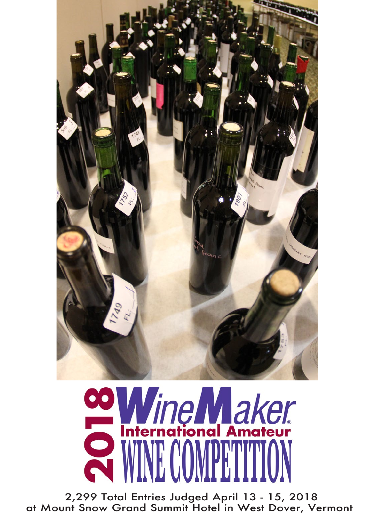

# **co Wine Maker**

 2,299 Total Entries Judged April 13 - 15, 2018 at Mount Snow Grand Summit Hotel in West Dover, Vermont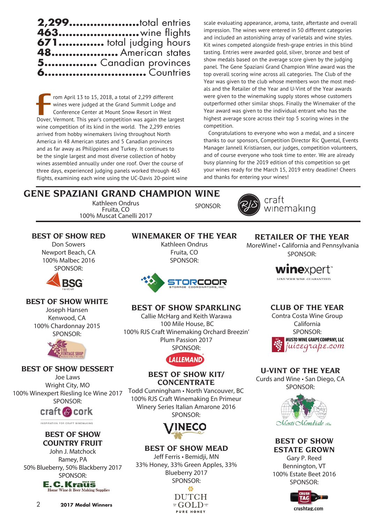

rom April 13 to 15, 2018, a total of 2,299 different wines were judged at the Grand Summit Lodge and Conference Center at Mount Snow Resort in West Dover, Vermont. This year's competition was again the largest wine competition of its kind in the world. The 2,299 entries arrived from hobby winemakers living throughout North America in 48 American states and 5 Canadian provinces and as far away as Philippines and Turkey. It continues to be the single largest and most diverse collection of hobby wines assembled annually under one roof. Over the course of three days, experienced judging panels worked through 463 flights, examining each wine using the UC-Davis 20-point wine  $\begin{array}{c}\n\bullet \\
\bullet \\
\bullet\n\end{array}$ 

scale evaluating appearance, aroma, taste, aftertaste and overall impression. The wines were entered in 50 different categories and included an astonishing array of varietals and wine styles. Kit wines competed alongside fresh-grape entries in this blind tasting. Entries were awarded gold, silver, bronze and best of show medals based on the average score given by the judging panel. The Gene Spaziani Grand Champion Wine award was the top overall scoring wine across all categories. The Club of the Year was given to the club whose members won the most medals and the Retailer of the Year and U-Vint of the Year awards were given to the winemaking supply stores whose customers outperformed other similar shops. Finally the Winemaker of the Year award was given to the individual entrant who has the highest average score across their top 5 scoring wines in the competition.

Congratulations to everyone who won a medal, and a sincere thanks to our sponsors, Competition Director Ric Quental, Events Manager Jannell Kristiansen, our judges, competition volunteers, and of course everyone who took time to enter. We are already busy planning for the 2019 edition of this competition so get your wines ready for the March 15, 2019 entry deadline! Cheers and thanks for entering your wines!

#### **GENE SPAZIANI GRAND CHAMPION WINE** Kathleen Ondrus Fruita, CO SPONSOR:

100% Muscat Canelli 2017



craft winemaking

# **BEST OF SHOW RED**

Don Sowers Newport Beach, CA 100% Malbec 2016 SPONSOR:



# **BEST OF SHOW WHITE**

Joseph Hansen Kenwood, CA 100% Chardonnay 2015 SPONSOR:



# **BEST OF SHOW DESSERT**

Joe Laws Wright City, MO 100% Winexpert Riesling Ice Wine 2017 SPONSOR:

craft @ cork

INSPIRATION FOR CRAFT WINEMAKING

#### **BEST OF SHOW COUNTRY FRUIT**

John J. Matchock Ramey, PA 50% Blueberry, 50% Blackberry 2017 SPONSOR:

**E.C.Kraus Home Wine & Beer Making Supplies** 

#### **WINEMAKER OF THE YEAR** Kathleen Ondrus Fruita, CO

SPONSOR:



# **BEST OF SHOW SPARKLING**

Callie McHarg and Keith Warawa 100 Mile House, BC 100% RJS Craft Winemaking Orchard Breezin' Plum Passion 2017 SPONSOR:

# **LALLEMAND**

#### **BEST OF SHOW KIT/ CONCENTRATE**

Todd Cunningham • North Vancouver, BC 100% RJS Craft Winemaking En Primeur Winery Series Italian Amarone 2016 SPONSOR:



# **BEST OF SHOW MEAD**

Jeff Ferris • Bemidji, MN 33% Honey, 33% Green Apples, 33% Blueberry 2017 SPONSOR: 拳

#### **DUTCH** #GOLD\* PURE HONEY

# **RETAILER OF THE YEAR**

 MoreWine! • California and Pennsylvania SPONSOR:

> **winexpert**\* LOVE YOUR WINE. GUARANTEED.

#### **CLUB OF THE YEAR**

Contra Costa Wine Group California SPONSOR:<br>MUSTO WINE GRAPE COMPANY, LLC juicegrape.com

# **U-VINT OF THE YEAR**

Curds and Wine • San Diego, CA SPONSOR:



**BEST OF SHOW ESTATE GROWN** Gary P. Reed

Bennington, VT 100% Estate Beet 2016 SPONSOR:

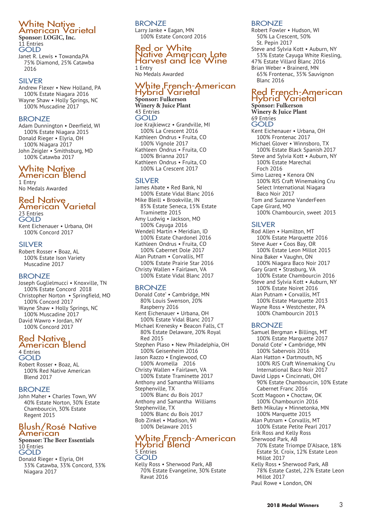# White Native<br>American Varietal **Sponsor: LOGIC, Inc.**

11 Entries GOLD

Janet R. Lewis • Towanda,PA 75% Diamond, 25% Catawba 2016

#### SILVER

Andrew Flexer • New Holland, PA 100% Estate Niagara 2016 Wayne Shaw • Holly Springs, NC 100% Muscadine 2017

#### **BRONZE**

Adam Dunnington • Deerfield, WI 100% Estate Niagara 2015 Donald Rieger • Elyria, OH 100% Niagara 2017 John Zeigler • Smithsburg, MD 100% Catawba 2017

# White Native American Blend

1 Entry No Medals Awarded

# Red Native<br>American Varietal 23 Entries

GOLD Kent Eichenauer • Urbana, OH 100% Concord 2017

#### SILVER

Robert Rosser • Boaz, AL 100% Estate Ison Variety Muscadine 2017

#### BRONZE

Joseph Guglielmucci • Knoxville, TN 100% Estate Concord 2018 Christopher Norton • Springfield, MO 100% Concord 2017 Wayne Shaw • Holly Springs, NC 100% Muscadine 2017 David Wawro • Jordan, NY 100% Concord 2017

# Red Native American Blend 4 Entries

GOLD Robert Rosser • Boaz, AL 100% Red Native American Blend 2017

#### **BRONZE**

John Maher • Charles Town, WV 40% Estate Norton, 30% Estate Chambourcin, 30% Estate Regent 2015

# Blush/Rosé Native<br>American

#### **Sponsor: The Beer Essentials** 10 Entries GOLD

Donald Rieger • Elyria, OH 33% Catawba, 33% Concord, 33% Niagara 2017

**BRONZE** Larry Janke • Eagan, MN 100% Estate Concord 2016

# Red or White<br>Native American Late<br>Harvest and Ice Wine

1 Entry No Medals Awarded

# White French-American Hybrid Varietal **Sponsor: Fulkerson**

**Winery & Juice Plant** 43 Entries GOLD Joe Krajkiewcz • Grandville, MI 100% La Crescent 2016 Kathleen Ondrus • Fruita, CO 100% Vignole 2017 Kathleen Ondrus • Fruita, CO 100% Brianna 2017 Kathleen Ondrus • Fruita, CO 100% La Crescent 2017

#### SILVER

James Abate • Red Bank, NJ 100% Estate Vidal Blanc 2016 Mike Bleill • Brookville, IN 85% Estate Seneca, 15% Estate Traminette 2015 Amy Ludwig • Jackson, MO 100% Cayuga 2016 Wendell Martin • Meridian, ID 100% Estate Chardonel 2016 Kathleen Ondrus • Fruita, CO 100% Cabernet Dole 2017 Alan Putnam • Corvallis, MT 100% Estate Prairie Star 2016 Christy Wallen • Fairlawn, VA 100% Estate Vidal Blanc 2017

#### **BRONZE**

Donald Cote' • Cambridge, MN 80% Louis Swenson, 20% Raspberry 2016 Kent Eichenauer • Urbana, OH 100% Estate Vidal Blanc 2017 Michael Krenesky • Beacon Falls, CT 80% Estate Delaware, 20% Royal Red 2015 Stephen Plaso • New Philadelphia, OH 100% Geisenheim 2016 Jason Razzo • Englewood, CO 100% Aromella 2016 Christy Wallen • Fairlawn, VA 100% Estate Traminette 2017 Anthony and Samantha Williams Stephenville, TX 100% Blanc du Bois 2017 Anthony and Samantha Williams Stephenville, TX 100% Blanc du Bois 2017 Bob Zinkel • Madison, WI 100% Delaware 2015

# White French-American Hybrid Blend 5 Entries GOLD

Kelly Ross • Sherwood Park, AB 70% Estate Evangeline, 30% Estate Ravat 2016

#### BRONZE

Robert Fowler • Hudson, WI 50% La Crescent, 50% St. Pepin 2017 Steve and Sylvia Kott • Auburn, NY 53% Estate Cayuga White Riesling, 47% Estate Villard Blanc 2016 Brian Weber • Brainerd, MN 65% Frontenac, 35% Sauvignon Blanc 2016

# Red French-American<br>Hybrid Varietal

**Sponsor: Fulkerson Winery & Juice Plant** 69 Entries **GOLD** Kent Eichenauer • Urbana, OH 100% Frontenac 2017 Michael Glover • Winnsboro, TX 100% Estate Black Spanish 2017 Steve and Sylvia Kott • Auburn, NY 100% Estate Marechal

Foch 2016 Simo Lazreq • Kenora ON 100% RJS Craft Winemaking Cru Select International Niagara Baco Noir 2017 Tom and Suzanne VanderFeen

Cape Girard, MO 100% Chambourcin, sweet 2013

#### SILVER

Rod Allen • Hamilton, MT 100% Estate Marquette 2016 Steve Auer • Coos Bay, OR 100% Estate Leon Millot 2015 Nina Baker • Vaughn, ON 100% Niagara Baco Noir 2017 Gary Grant • Strasburg, VA 100% Estate Chambourcin 2016 Steve and Sylvia Kott • Auburn, NY 100% Estate Noiret 2016 Alan Putnam • Corvallis, MT 100% Estate Marquette 2013 Wayne Ross • Westchester, PA 100% Chambourcin 2013

#### BRONZE

Samuel Bergman • Billings, MT 100% Estate Marquette 2017 Donald Cote' • Cambridge, MN 100% Sabervois 2016 Alan Hatton • Dartmouth, NS 100% RJS Craft Winemaking Cru International Baco Noir 2017 David Lipps • Cincinnati, OH 90% Estate Chambourcin, 10% Estate Cabernet Franc 2016 Scott Magoon • Choctaw, OK 100% Chambourcin 2016 Beth Mikulay • Minnetonka, MN 100% Marquette 2015 Alan Putnam • Corvallis, MT 100% Estate Petite Pearl 2017 Erik Ross and Kelly Ross Sherwood Park, AB 70% Estate Triompe D'Alsace, 18% Estate St. Croix, 12% Estate Leon Millot 2017 Kelly Ross • Sherwood Park, AB 78% Estate Castel, 22% Estate Leon Millot 2017

Paul Rowe • London, ON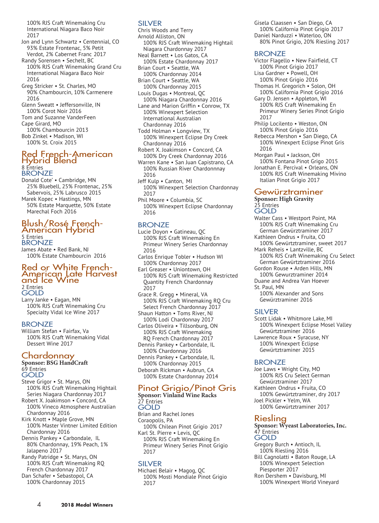100% RJS Craft Winemaking Cru International Niagara Baco Noir 2017

- Jon and Lynn Schwartz Centennial, CO 93% Estate Frontenac, 5% Petit Verdot, 2% Cabernet Franc 2017
- Randy Sorensen Sechelt, BC 100% RJS Craft Winemaking Grand Cru International Niagara Baco Noir 2016
- Greg Stricker St. Charles, MO 90% Chambourcin, 10% Carmenere 2016
- Glenn Sweatt Jeffersonville, IN 100% Corot Noir 2016
- Tom and Suzanne VanderFeen
- Cape Girard, MO
- 100% Chambourcin 2013 Bob Zinkel • Madison, WI 100% St. Croix 2015

# Red French-American<br>Hybrid Blend 8 Entries BRONZE

Donald Cote' • Cambridge, MN 25% Bluebell, 25% Frontenac, 25% Sabervois, 25% Labrusco 2015 Marek Kopec • Hastings, MN

50% Estate Marquette, 50% Estate Marechal Foch 2016

### Blush/Rosé French- American Hybrid 5 Entries **BRONZE**

James Abate • Red Bank, NJ 100% Estate Chambourcin 2016

# Red or White French- American Late Harvest and Ice Wine 2 Entries **GOLD**

Larry Janke • Eagan, MN 100% RJS Craft Winemaking Cru Specialty Vidal Ice Wine 2017

#### BRONZE

William Stefan • Fairfax, Va 100% RJS Craft Winemaking Vidal Dessert Wine 2017

# Chardonnay

#### **Sponsor: BSG HandCraft** 69 Entries **GOLD**

- Steve Grigor St. Marys, ON 100% RJS Craft Winemaking Hightail Series Niagara Chardonnay 2017
- Robert X. Joakimson Concord, CA 100% Vineco Atmosphere Australian Chardonnay 2016
- Kirk Knott Maple Grove, MN 100% Master Vintner Limited Edition Chardonnay 2016
- Dennis Pankey Carbondale, IL 80% Chardonnay, 19% Peach, 1% Jalapeno 2017
- Randy Patridge St. Marys, ON 100% RJS Craft Winemaking RQ French Chardonnay 2017 Dan Schafer • Sebastopol, CA
- 100% Chardonnay 2015

#### SILVER

Chris Woods and Terry Arnold Alliston, ON 100% RJS Craft Winemaking Hightail Niagara Chardonnay 2017 Neal Barnett • Los Gatos, CA 100% Estate Chardonnay 2017 Brian Court • Seattle, WA 100% Chardonnay 2014 Brian Court • Seattle, WA 100% Chardonnay 2015 Louis Dugas • Montreal, QC 100% Niagara Chardonnay 2016 Lane and Marion Griffin • Conrow, TX 100% Winexpert Selection International Australian Chardonnay 2016 Todd Holman • Longview, TX 100% Winexpert Eclipse Dry Creek Chardonnay 2016 Robert X. Joakimson • Concord, CA 100% Dry Creek Chardonnay 2016 Warren Kane • San Juan Capistrano, CA

- 100% Russian River Chardonnnay 2016
- Jeff Kulp Canton, MI 100% Winexpert Selection Chardonnay 2017
- Phil Moore Columbia, SC 100% Winexpert Eclipse Chardonnay 2016

#### **BRONZE**

- Lucie Doyon Gatineau, QC 100% RJS Craft Winemaking En Primeur Winery Series Chardonnay 2016
- Carlos Enrique Tobler Hudson WI 100% Chardonnay 2017 Earl Greaser • Uniontown, OH 100% RJS Craft Winemaking Restricted
	- Quantity French Chardonnay 2017
- Grace R. Gregg Mineral, VA 100% RJS Craft Winemaking RQ Cru Select French Chardonnay 2017
- Shaun Hatton Toms River, NJ 100% Lodi Chardonnay 2017
- Carlos Oliveira Tillsonburg, ON 100% RJS Craft Winemaking RQ French Chardonnay 2017

Dennis Pankey • Carbondale, IL 100% Chardonnay 2016 Dennis Pankey • Carbondale, IL

100% Chardonnay 2015 Deborah Rickman • Aubrun, CA 100% Estate Chardonnay 2014

# Pinot Grigio/Pinot Gris

#### **Sponsor: Vinland Wine Racks** 27 Entries GOLD

Brian and Rachel Jones Coraopolis, PA 100% Chilean Pinot Grigio 2017 Karl St. Pierre • Levis, QC 100% RJS Craft Winemaking En Primeur Winery Series Pinot Grigio 2017

#### SILVER

Michael Belair • Magog, QC 100% Mosti Mondiale Pinot Grigio 2017

Gisela Claassen • San Diego, CA 100% California Pinot Grigio 2017 Daniel Narduzzi • Waterloo, ON 80% Pinot Grigio, 20% Riesling 2017

#### BRONZE

- Victor Flagello New Fairfield, CT 100% Pinot Grigio 2017 Lisa Gardner • Powell, OH 100% Pinot Grigio 2016 Thomas H. Gregorich • Solon, OH 100% California Pinot Grigio 2016 Gary D. Jensen • Appleton, WI 100% RJS Craft Winemaking En Primeur Winery Series Pinot Grigio 2017 Philip Locilento . Weston, ON 100% Pinot Grigio 2016 Rebecca Mershon . San Diego, CA 100% Winexpert Eclipse Pinot Gris 2016 Morgan Paul . Jackson, OH
- 100% Fontana Pinot Grigo 2015 Jonathan E. Percival . Orleans, ON 100% RJS Craft Winemaking Mivino Italian Pinot Grigio 2017

#### Gewürztraminer

#### **Sponsor: High Gravity** 25 Entries GOLD

- Walter Cass Westport Point, MA 100% RJS Craft Winemaking Cru German Gewürztraminer 2017
- Kathleen Ondrus Fruita, CO 100% Gewürtztraminer, sweet 2017 Mark Reheis • Lantzville, BC
- 100% RJS Craft Winemaking Cru Select German Gewürtztraminer 2016
- Gordon Rouse Arden Hills, MN
- 100% Gewurztraminer 2014 Duane and Andrea Van Hoever

St. Paul, MN

100% Alexander and Sons Gewürztraminer 2016

#### SILVER

- Scott Lidak Whitmore Lake, MI 100% Winexpert Eclipse Mosel Valley Gewürtztraminer 2016 Lawrence Roux • Syracuse, NY
- 100% Winexpert Eclipse Gewürtztraminer 2015

#### **BRONZE**

Joe Laws • Wright City, MO 100% RJS Cru Select German Gewürztraminer 2017 Kathleen Ondrus • Fruita, CO 100% Gewürtztraminer, dry 2017 Joel Pickler • Yelm, WA 100% Gewürtztraminer 2017

# Riesling

#### **Sponsor: Wyeast Laboratories, Inc.** 47 Entries GOLD

- Gregory Burch Antioch, IL 100% Riesling 2016 Bill Cagnolatti • Baton Rouge, LA 100% Winexpert Selection Piesporter 2017
- Ron Dershem Davisburg, MI 100% Winexpert World Vineyard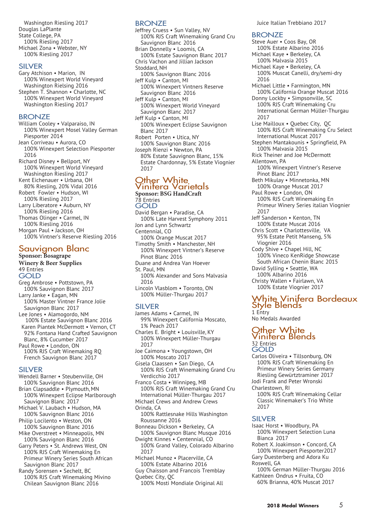Washington Riesling 2017 Douglas LaPlante State College, PA 100% Riesling 2017 Michael Zona • Webster, NY 100% Riesling 2017

#### SILVER

Gary Atchison • Marion, IN 100% Winexpert World Vineyard Washington Rielsing 2016 Stephen T. Shannon • Charlotte, NC 100% Winexpert World Vineyard Washington Riesling 2017

#### **BRONZE**

William Cooley • Valparaiso, IN 100% Winexpert Mosel Valley German Piesporter 2014 Jean Corriveau • Aurora, CO 100% Winexpert Selection Piesporter 2016 Richard Disney • Bellport, NY 100% Winexpert World Vineyard Washington Riesling 2017 Kent Eichenauer • Urbana, OH 80% Riesling, 20% Vidal 2016 Robert Fowler • Hudson, WI 100% Riesling 2017 Larry Liberatore • Auburn, NY 100% Riesling 2016 Thomas Olinger • Carmel, IN 100% Riesling 2016 Morgan Paul • Jackson, OH 100% Vintner's Reserve Riesling 2016

# Sauvignon Blanc<br><sub>Sponsor: Bosagrape</sub>

**Winery & Beer Supplies** 49 Entries GOLD Greg Ambrose · Pottstown, PA 100% Sauvignon Blanc 2017 Larry Janke . Eagan, MN 100% Master Vintner France Jolie Sauvignon Blanc 2017 Lee Jones . Alamogordo, NM 100% Estate Sauvignon Blanc 2016 Karen Piantek McDermott . Vernon, CT 92% Fontana Hand Crafted Sauvignon Blanc, 8% Cucumber 2017

Paul Rowe . London, ON 100% RJS Craft Winemaking RQ French Sauvignon Blanc 2017

#### SILVER

- Wendell Barner Steubenville, OH 100% Sauvignon Blanc 2016 Brian Clapsaddle • Plymouth, MN 100% Winexpert Eclipse Marlborough Sauvignon Blanc 2017 Michael V. Laubach • Hudson, MA 100% Sauvignon Blanc 2016 Philip Locilento • Weston, ON 100% Sauvignon Blanc 2016 Mike Overstreet • Minneapolis, MN
- 100% Sauvignon Blanc 2016 Garry Peters • St. Andrews West, ON
- 100% RJS Craft Winemaking En Primeur Winery Series South African Sauvignon Blanc 2017
- Randy Sorensen Sechelt, BC 100% RJS Craft Winemaking Mivino Chilean Sauvignon Blanc 2016

#### BRONZE

Jeffrey Cruess • Sun Valley, NV 100% RJS Craft Winemaking Grand Cru Sauvignon Blanc 2016 Brian Donnelly • Loomis, CA 100% Estate Sauvignon Blanc 2017 Chris Vachon and Jillian Jackson Stoddard, NH 100% Sauvignon Blanc 2016 Jeff Kulp • Canton, MI 100% Winexpert Vintners Reserve Sauvignon Blanc 2016 Jeff Kulp • Canton, MI 100% Winexpert World Vineyard Sauvignon Blanc 2017 Jeff Kulp • Canton, MI 100% Winexpert Eclipse Sauvignon Blanc 2017 Robert Porten • Utica, NY 100% Sauvignon Blanc 2016 Joseph Rienzi • Newton, PA 80% Estate Sauvignon Blanc, 15% Estate Chardonnay, 5% Estate Viognier 2017

# Other White<br>Vinifera Varietals

**Sponsor: BSG HandCraft** 78 Entries GOLD David Bergan • Paradise, CA 100% Late Harvest Symphony 2011 Jon and Lynn Schwartz Centennial, CO 100% Orange Muscat 2017 Timothy Smith • Manchester, NH 100% Winexpert Vintner's Reserve Pinot Blanc 2016 Duane and Andrea Van Hoever St. Paul, MN 100% Alexander and Sons Malvasia 2016 Lincoln Vlasblom • Toronto, ON 100% Müller-Thurgau 2017

#### SILVER

- James Adams Carmel, IN 99% Winexpert California Moscato, 1% Peach 2017
- Charles E. Bright Louisville, KY 100% Winexpert Müller-Thurgau 2017
- Joe Caimona Youngstown, OH 100% Moscato 2017
- Gisela Claassen San Diego, CA 100% RJS Craft Winemaking Grand Cru Verdicchio 2017
- Franco Costa Winnipeg, MB 100% RJS Craft Winemaking Grand Cru International Müller-Thurgau 2017
- Michael Crews and Andrew Crews Orinda, CA
- 100% Rattlesnake Hills Washington Roussanne 2016
- Bonneau Dickson Berkeley, CA 100% Sauvignon Blanc Musque 2016 Dwight Kinnes • Centennial, CO
- 100% Grand Valley, Colorado Albarino 2017
- Michael Munoz Placerville, CA 100% Estate Albarino 2016
- Guy Chaisson and Francois Tremblay
- Quebec City, QC

100% Mosti Mondiale Original All

Juice Italian Trebbiano 2017

#### **BRONZE**

Steve Auer • Coos Bay, OR 100% Estate Albarino 2016 Michael Kaye • Berkeley, CA 100% Malvasia 2015 Michael Kaye • Berkeley, CA 100% Muscat Canelli, dry/semi-dry 2016 Michael Little • Farmington, MN 100% California Orange Muscat 2016 Donny Lockby • Simpsonville, SC 100% RJS Craft Winemaking Cru International German Müller-Thurgau 2017 Lise Mailloux • Quebec City, QC 100% RJS Craft Winemaking Cru Select International Muscat 2017 Stephen Mantakounis • Springfield, PA 100% Malvasia 2015 Rick Theiner and Joe McDermott Allentown, PA 100% Winexpert Vintner's Reserve Pinot Blanc 2017 Beth Mikulay • Minnetonka, MN 100% Orange Muscat 2017 Paul Rowe • London, ON 100% RJS Craft Winemaking En Primeur Winery Series italian Viognier 2017 Jeff Sanderson • Kenton, TN 100% Estate Muscat 2016 Chris Scott • Charlottesville, VA 95% Estate Petit Manseng, 5% Viognier 2016 Cody Shive • Chapel Hill, NC 100% Vineco KenRidge Showcase South African Chenin Blanc 2015 David Sylling • Seattle, WA 100% Albarino 2016 Christy Wallen • Fairlawn, VA 100% Estate Viognier 2017

# White Vinifera Bordeaux<br>Style Blends

1 Entry No Medals Awarded

### Other White<br>Vinifera Blends 32 Entries GOLD

- Carlos Oliveira Tillsonburg, ON 100% RJS Craft Winemaking En Primeur Winery Series Germany Riesling Gewürtztraminer 2017 Jodi Frank and Peter Wronski
- Charlestown, RI
	- 100% RJS Craft Winemaking Cellar Classic Winemaker's Trio White 2017

#### SILVER

- Isaac Horst Woodbury, PA 100% Winexpert Selection Luna Bianca 2017
- Robert X. Joakimson Concord, CA 100% Winexpert Piesporter2017
- Gary Duesterberg and Adora Ku Roswell, GA
	- 100% German Müller-Thurgau 2016
- Kathleen Ondrus Fruita, CO 60% Brianna, 40% Muscat 2017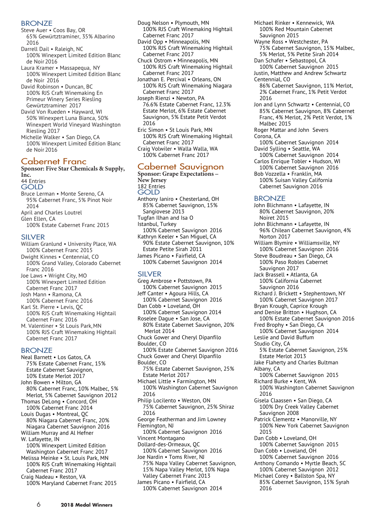#### BRONZE

- Steve Auer Coos Bay, OR 65% Gewürtztraminer, 35% Albarino 2016
- Darrell Dail Raleigh, NC 100% Winexpert Limited Edition Blanc de Noir 2016
- Laura Kramer Massapequa, NY 100% Winexpert Limited Edition Blanc de Noir 2016
- David Robinson Duncan, BC 100% RJS Craft Winemaking En Primeur Winery Series Riesling Gewürtztraminer 2017
- David Von Rueden Hayward, WI 50% Winexpert Luna Bianca, 50% Winexpert World Vineyard Washington Riesling 2017
- Michelle Walker San Diego, CA 100% Winexpert Limited Edition Blanc de Noir 2016

# Cabernet Franc

**Sponsor: Five Star Chemicals & Supply, Inc.** 44 Entries

**GOLD** 

- Bruce Lerman Monte Sereno, CA 95% Cabernet Franc, 5% Pinot Noir 2014 April and Charles Loutrel Glen Ellen, CA
- 100% Estate Cabernet Franc 2015

#### SILVER

- William Granlund University Place, WA 100% Cabernet Franc 2015
- Dwight Kinnes Centennial, CO 100% Grand Valley, Colorado Cabernet Franc 2016
- Joe Laws Wright City, MO 100% Winexpert Limited Edition Cabernet Franc 2017
- Josh Mann Ramona, CA 100% Cabernet Franc 2016 Karl St. Pierre • Levis, QC
- 100% RJS Craft Winemaking Hightail Cabernet Franc 2016
- M. Valentiner St Louis Park,MN 100% RJS Craft Winemaking Hightail Cabernet Franc 2017

#### **BRONZE**

- Neal Barnett Los Gatos, CA 75% Estate Cabernet Franc, 15% Estate Cabernet Sauvignon, 10% Estate Merlot 2017 John Bowen • Milton, GA 80% Cabernet Franc, 10% Malbec, 5%
- Merlot, 5% Cabernet Sauvignon 2012 Thomas DeLong • Concord, OH
- 100% Cabernet Franc 2014 Louis Dugas • Montreal, QC
- 80% Niagara Cabernet Franc, 20% Niagara Cabernet Sauvignon 2016
- William Murray and Al Hefner W. Lafayette, IN 100% Winexpert Limited Edition
- Washington Cabernet Franc 2017 Melissa Meinke • St. Louis Park, MN 100% RJS Craft Winemaking Hightail
- Cabernet Franc 2017 Craig Nadeau • Reston, VA
- 100% Maryland Cabernet Franc 2015
- Doug Nelson Plymouth, MN 100% RJS Craft Winemaking Hightail Cabernet Franc 2017
- David Opp Minneapolis, MN 100% RJS Craft Winemaking Hightail Cabernet Franc 2017
- Chuck Ostrom Minneapolis, MN 100% RJS Craft Winemaking Hightail Cabernet Franc 2017
- Jonathan E. Percival Orleans, ON 100% RJS Craft Winemaking Niagara Cabernet Franc 2017
- Joseph Rienzi Newton, PA 76.6% Estate Cabernet Franc, 12.3% Estate Merlot, 6% Estate Cabernet Sauvignon, 5% Estate Petit Verdot 2016
- Eric Simon St Louis Park, MN 100% RJS Craft Winemaking Hightail Cabernet Franc 2017
- Craig Volwiler Walla Walla, WA 100% Cabernet Franc 2017

#### Cabernet Sauvignon

**Sponsor: Grape Expectations – New Jersey** 182 Entries GOLD Anthony Ianiro • Chesterland, OH 85% Cabernet Sauvignon, 15% Sangiovese 2013 Tugfan Ilhan and Isa O Istanbul, Turkey 100% Cabernet Sauvignon 2016 Kathryn Keeler • San Miguel, CA 90% Estate Cabernet Sauvignon, 10% Estate Petite Sirah 2011 James Picano • Fairfield, CA 100% Cabernet Sauvignon 2014

#### SILVER

Greg Ambrose • Pottstown, PA 100% Cabernet Sauvignon 2015 Jeff Canter • Agoura Hills, CA 100% Cabernet Sauvignon 2016 Dan Cobb • Loveland, OH 100% Cabernet Sauvignon 2014 Roselee Dague • San Jose, CA 80% Estate Cabernet Sauvignon, 20% Merlot 2014 Chuck Gower and Cheryl Dipanfilo Boulder, CO 100% Estate Cabernet Sauvignon 2016 Chuck Gower and Cheryl Dipanfilo Boulder, CO 75% Estate Cabernet Sauvignon, 25% Estate Merlot 2017 Michael Little • Farmington, MN 100% Washington Cabernet Sauvignon 2016 Philip Locilento . Weston, ON 75% Cabernet Sauvignon, 25% Shiraz 2016 George Featherman and Jim Lowney Flemington, NJ 100% Cabernet Sauvignon 2016 Vincent Montagano Dollard-des-Ormeaux, QC 100% Cabernet Sauvignon 2016 Joe Nardin • Toms River, NJ 75% Napa Valley Cabernet Sauvignon, 15% Napa Valley Merlot, 10% Napa Valley Cabernet Franc 2013 James Picano • Fairfield, CA 100% Cabernet Sauvignon 2014

- Michael Rinker Kennewick, WA 100% Red Mountain Cabernet Sauvignon 2015
- Wayne Ross Westchester, PA 75% Cabernet Sauvignon, 15% Malbec, 5% Merlot, 5% Petite Sirah 2014
- Dan Schafer Sebastopol, CA 100% Cabernet Sauvignon 2015 Justin, Matthew and Andrew Schwartz Centennial, CO
- 86% Cabernet Sauvignon, 11% Merlot, 2% Cabernet Franc, 1% Petit Verdot 2016
- Jon and Lynn Schwartz Centennial, CO 85% Cabernet Sauvignon, 8% Cabernet Franc, 4% Merlot, 2% Petit Verdot, 1% Malbec 2015
- Roger Mattar and John Severs
- Corona, CA
- 100% Cabernet Sauvignon 2014 David Sylling • Seattle, WA
- 100% Cabernet Sauvignon 2014 Carlos Enrique Tobler • Hudson, WI 100% Cabernet Sauvignon 2016
- Bob Vozzella Franklin, MA 100% Suisan Valley California Cabernet Sauvignon 2016

#### **BRONZE**

- John Blichmann Lafayette, IN 80% Cabernet Sauvignon, 20% Noiret 2015
- John Blichmann Lafayette, IN 96% Chilean Cabernet Sauvignon, 4% Norton 2017
- William Blymire Williamsville, NY 100% Cabernet Sauvignon 2016
- Steve Boudreau San Diego, CA 100% Paso Robles Cabernet Sauvignon 2017
- Jack Brassell Atlanta, GA 100% California Cabernet Sauvignon 2016
- Richard J. Brickett Stephentown, NY 100% Cabernet Sauvignon 2017
- Bryan Krough, Caprice Krough
- and Denise Britton Hughson, CA
- 100% Estate Cabernet Sauvignon 2016 Fred Brophy • San Diego, CA
- 100% Cabernet Sauvignon 2014 Leslie and David Buffum
- Studio City, CA
	- 5% Estate Cabernet Sauvignon, 25% Estate Merlot 2013
- Jake Flaherty and Charles Bultman Albany, CA
- 100% Cabernet Sauvignon 2015 Richard Burke • Kent, WA
- 100% Washington Cabernet Sauvignon 2016
- Gisela Claassen San Diego, CA 100% Dry Creek Valley Cabernet Sauvignon 2008
- Patrick Clementz Manorville, NY 100% New York Cabernet Sauvignon 2015
- Dan Cobb Loveland, OH
- 100% Cabernet Sauvignon 2015 Dan Cobb • Loveland, OH
- 100% Cabernet Sauvignon 2016 Anthony Comando • Myrtle Beach, SC
- 100% Cabernet Sauvignon 2012
- Michael Corey Ballston Spa, NY 85% Cabernet Sauvignon, 15% Syrah 2016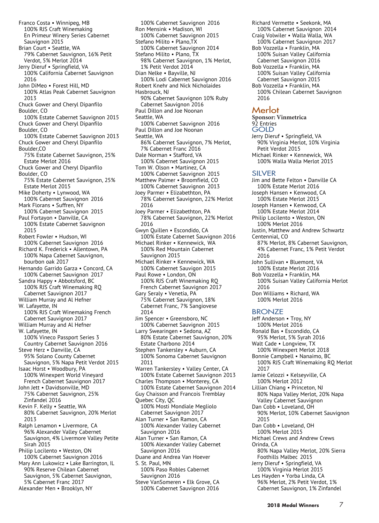Franco Costa • Winnipeg, MB 100% RJS Craft Winemaking En Primeur Winery Series Cabernet Sauvignon 2015 Brian Court • Seattle, WA 79% Cabernet Sauvignon, 16% Petit Verdot, 5% Merlot 2014 Jerry Dieruf • Springfield, VA 100% California Cabernet Sauvignon 2016 John DiMeo • Forest Hill, MD 100% Atlas Peak Cabernet Sauvignon 2013 Chuck Gower and Cheryl Dipanfilo Boulder, CO 100% Estate Cabernet Sauvignon 2015 Chuck Gower and Cheryl Dipanfilo Boulder, CO 100% Estate Cabernet Sauvignon 2013 Chuck Gower and Cheryl Dipanfilo Boulder,CO 75% Estate Cabernet Sauvignon, 25% Estate Merlot 2016 Chuck Gower and Cheryl Dipanfilo Boulder, CO 75% Estate Cabernet Sauvignon, 25% Estate Merlot 2015 Mike Doherty • Lynwood, WA 100% Cabernet Sauvignon 2016 Mark Florans • Suffren, NY 100% Cabernet Sauvignon 2015 Paul Fortayon • Danville, CA 100% Estate Cabernet Sauvignon 2015 Robert Fowler • Hudson, WI 100% Cabernet Sauvignon 2016 Richard K. Frederick • Allentown, PA 100% Napa Cabernet Sauvignon, bourbon oak 2017 Hernando Garrido Garza • Concord, CA 100% Cabernet Sauvignon 2017 Sandra Happy • Abbotsford, BC 100% RJS Craft Winemaking RQ Cabernet Sauvignon 2017 William Murray and Al Hefner W. Lafayette, IN 100% RJS Craft Winemaking French Cabernet Sauvignon 2017 William Murray and Al Hefner W. Lafayette, IN 100% Vineco Passport Series 3 Country Cabernet Sauvignon 2016 Steve Herz • Danville, CA 95% Solano County Cabernet Sauvignon, 5% Napa Petit Verdot 2015 Isaac Horst • Woodbury, PA 100% Winexpert World Vineyard French Cabernet Sauvignon 2017 John Jett • Davidsonville, MD 75% Cabernet Sauvignon, 25% Zinfandel 2016 Kevin F. Kelly • Seattle, WA 80% Cabernet Sauvignon, 20% Merlot 2013 Ralph Lenamon • Livermore, CA 96% Alexander Valley Cabernet Sauvignon, 4% Livermore Valley Petite Sirah 2015 Philip Locilento • Weston, ON 100% Cabernet Sauvignon 2016 Mary Ann Lukowicz . Lake Barrington, IL 90% Reserve Chilean Cabernet Sauvignon, 5% Cabernet Sauvignon,

5% Cabernet Franc 2017 Alexander Men • Brooklyn, NY

100% Cabernet Sauvignon 2016 Ron Mensink • Madison, WI 100% Cabernet Sauvignon 2015 Stefano Milito • Plano,TX 100% Cabernet Sauvignon 2014 Stefano Milito • Plano, TX 98% Cabernet Sauvignon, 1% Merlot, 1% Petit Verdot 2014 Dian Nelke • Bayville, NJ 100% Lodi Cabernet Sauvignon 2016 Robert Knehr and Nick Nicholaides Hasbrouck, NJ 90% Cabernet Sauvignon 10% Ruby Cabernet Sauvignon 2016 Paul Dillon and Joe Noonan Seattle, WA 100% Cabernet Sauvignon 2016 Paul Dillon and Joe Noonan Seattle, WA 86% Cabernet Sauvignon, 7% Merlot, 7% Cabernet Franc 2016 Dale Norman • Stafford, VA 100% Cabernet Sauvignon 2015 Tom W. Olson • Martinez, CA 100% Cabernet Sauvignon 2015 Matthew Palmer • Broomfield, CO 100% Cabernet Sauvignon 2013 Joey Parmer • Elizabethton, PA 78% Cabernet Sauvignon, 22% Merlot 2016 Joey Parmer • Elizabethton, PA 78% Cabernet Sauvignon, 22% Merlot 2016 Gwyn Quillen • Escondido, CA 100% Estate Cabernet Sauvignon 2016 Michael Rinker • Kennewick, WA 100% Red Mountain Cabernet Sauvignon 2015 Michael Rinker • Kennewick, WA 100% Cabernet Sauvigon 2015 Paul Rowe • London, ON 100% RJS Craft Winemaking RQ French Cabernet Sauvignon 2017 Gary Seraly • Venetia, PA 75% Cabernet Sauvignon, 18% Cabernet Franc, 7% Sangiovese 2014 Jim Spencer • Greensboro, NC 100% Cabernet Sauvignon 2015 Larry Swearingen • Sedona, AZ 80% Estate Cabernet Sauvignon, 20% Estate Charbono 2014 Stephen Tankersley • Auburn, CA 100% Sonoma Cabernet Sauvignon 2011 Warren Tankersley • Valley Center, CA 100% Estate Cabernet Sauvignon 2013 Charles Thompson • Monterey, CA 100% Estate Cabernet Sauvignon 2014 Guy Chaisson and Francois Tremblay Quebec City, QC 100% Mosti Mondiale Megliolo Cabernet Sauvignon 2017 Alan Turner • San Ramon, CA 100% Alexander Valley Cabernet Sauvignon 2016 Alan Turner • San Ramon, CA 100% Alexander Valley Cabernet Sauvignon 2016 Duane and Andrea Van Hoever S. St. Paul, MN 100% Paso Robles Cabernet Sauvignon 2016 Steve VanSomeren • Elk Grove, CA 100% Cabernet Sauvignon 2016

Richard Vermette • Seekonk, MA 100% Cabernet Sauvignon 2014 Craig Volwiler • Walla Walla, WA 100% Cabernet Sauvignon 2017 Bob Vozzella • Franklin, MA 100% Suisan Valley California Cabernet Sauvignon 2016 Bob Vozzella • Franklin, MA 100% Suisan Valley California Cabernet Sauvignon 2015 Bob Vozzella • Franklin, MA 100% Chilean Cabernet Sauvignon 2016 Merlot **Sponsor: Vinmetrica** 92 Entries GOLD Jerry Dieruf • Springfield, VA 90% Virginia Merlot, 10% Virginia Petit Verdot 2015 Michael Rinker • Kennewick, WA 100% Walla Walla Merlot 2015 SILVER Jim and Bette Felton • Danville CA 100% Estate Merlot 2016 Joseph Hansen • Kenwood, CA 100% Estate Merlot 2015 Joseph Hansen • Kenwood, CA 100% Estate Merlot 2014 Philip Locilento • Weston, ON 100% Merlot 2016 Justin, Matthew and Andrew Schwartz Centennial, CO 87% Merlot, 8% Cabernet Sauvignon, 4% Cabernet Franc, 1% Petit Verdot 2016 John Sullivan • Bluemont, VA 100% Estate Merlot 2016 Bob Vozzella • Franklin, MA 100% Suisan Valley California Merlot 2016 Don Williams • Richard, WA 100% Merlot 2016 BRONZE Jeff Anderson • Troy, NY 100% Merlot 2016 Ronald Bas • Escondido, CA 95% Merlot, 5% Syrah 2016 Walt Cade • Longview, TX 100% Winexpert Merlot 2018 Bonnie Campbell • Nanaimo, BC 100% RJS Craft Winemaking RQ Merlot 2017 Jamie Celozzi • Kelseyville, CA 100% Merlot 2012 Lillian Chiang • Princeton, NJ 80% Napa Valley Merlot, 20% Napa Valley Cabernet Sauvignon Dan Cobb • Loveland, OH 90% Merlot, 10% Cabernet Sauvignon 2015 Dan Cobb • Loveland, OH 100% Merlot 2015 Michael Crews and Andrew Crews Orinda, CA 80% Napa Valley Merlot, 20% Sierra Foothills Malbec 2015 Jerry Dieruf • Springfield, VA 100% Virginia Merlot 2015 Les Hayden • Yorba Linda, CA

96% Merlot, 2% Petit Verdot, 1% Cabernet Sauvignon, 1% Zinfandel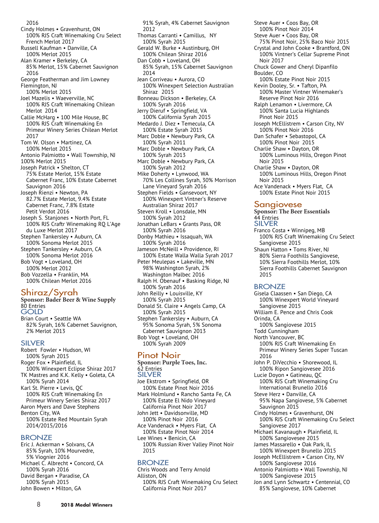2016 Cindy Holmes • Gravenhurst, ON 100% RJS Craft Winemaking Cru Select French Merlot 2017 Russell Kaufman • Danville, CA 100% Merlot 2015 Alan Kramer • Berkeley, CA 85% Merlot, 15% Cabernet Sauvignon 2016 George Featherman and Jim Lowney Flemington, NJ 100% Merlot 2015 Joel Mazelis • Waeverville, NC 100% RJS Craft Winemaking Chilean Merlot 2014 Callie McHarg • 100 Mile House, BC 100% RJS Craft Winemaking En Primeur Winery Series Chilean Merlot 2017 Tom W. Olson • Martinez, CA 100% Merlot 2015 Antonio Palmiotto • Wall Township, NJ 100% Merlot 2015 Joseph Patrick • Shelton, CT 75% Estate Merlot, 15% Estate Cabernet Franc, 10% Estate Cabernet Sauvignon 2016 Joseph Rienzi • Newton, PA 82.7% Estate Merlot, 9.4% Estate Cabernet Franc, 7.8% Estate Petit Verdot 2016 Joseph S. Stanjones • North Port, FL 100% RJS Craftr Winemaking RQ L'Age du Luxe Merlot 2017 Stephen Tankersley • Auburn, CA 100% Sonoma Merlot 2015 Stephen Tankersley • Auburn, CA 100% Sonoma Merlot 2016 Bob Vogt • Loveland, OH 100% Merlot 2012 Bob Vozzella • Franklin, MA 100% Chilean Merlot 2016

#### Shiraz/Syrah

**Sponsor: Bader Beer & Wine Supply** 80 Entries **GOLD** Brian Court • Seattle WA

82% Syrah, 16% Cabernet Sauvignon, 2% Merlot 2013

#### SILVER

Robert Fowler • Hudson, WI 100% Syrah 2015 Roger Fox • Plainfield, IL 100% Winexpert Eclipse Shiraz 2017 TK Mastres and K.K. Kelly • Goleta, CA 100% Syrah 2014 Karl St. Pierre • Levis, QC 100% RJS Craft Winemaking En Primeur Winery Series Shiraz 2017 Aaron Myers and Dave Stephens Benton City, WA 100% Estate Red Mountain Syrah 2014/2015/2016

#### BRONZE

Eric J. Ackerman • Solvans, CA 85% Syrah, 10% Mourvedre, 5% Viognier 2016 Michael C. Albrecht • Concord, CA 100% Syrah 2016 David Bergan • Paradise, CA 100% Syrah 2015 John Bowen • Milton, GA

91% Syrah, 4% Cabernet Sauvignon 2012 Thomas Carranti • Camillus, NY 100% Syrah 2015 Gerald W. Burke • Austinburg, OH 100% Chilean Shiraz 2016 Dan Cobb • Loveland, OH 85% Syrah, 15% Cabernet Sauvignon 2014 Jean Corriveau • Aurora, CO 100% Winexpert Selection Australian Shiraz 2015 Bonneau Dickson • Berkeley, CA 100% Syrah 2016 Jerry Dieruf • Springfield, VA 100% California Syrah 2015 Medardo J. Diez • Temecula, CA 100% Estate Syrah 2015 Marc Doble • Newbury Park, CA 100% Syrah 2011 Marc Doble • Newbury Park, CA 100% Syrah 2013 Marc Doble • Newbury Park, CA 100% Syrah 2012 Mike Doherty • Lynwood, WA 70% Les Collines Syrah, 30% Morrison Lane Vineyard Syrah 2016 Stephen Fields • Gansevoort, NY 100% Winexpert Vintner's Reserve Australian Shiraz 2017 Steven Kroll • Lonsdale, MN 100% Syrah 2012 Jonathan LeBars • Grants Pass, OR 100% Syrah 2016 Donby Mathieu • Issaquah, WA 100% Syrah 2016 Jameson McNeill • Providence, RI 100% Estate Walla Walla Syrah 2017 Peter Meulepas • Lakeville, MN 98% Washington Syrah, 2% Washington Malbec 2016 Ralph H. Obenauf • Basking Ridge, NJ 100% Syrah 2016 John Reilly • Louisville, KY 100% Syrah 2015 Donald St. Claire • Angels Camp, CA 100% Syrah 2015 Stephen Tankersley • Auburn, CA 95% Sonoma Syrah, 5% Sonoma Cabernet Sauvignon 2013 Bob Vogt • Loveland, OH 100% Syrah 2009

#### Pinot Noir

**Sponsor: Purple Toes, Inc.** 62 Entries SILVER Joe Ekstrom • Springfield, OR 100% Estate Pinot Noir 2016 Mark Holmlund • Rancho Santa Fe, CA 100% Estate El Nido Vineyard California Pinot Noir 2017 John Jett • Davidsonville, MD 100% Pinot Noir 2016 Ace Vandenack • Myers Flat, CA 100% Estate Pinot Noir 2014 Lee Wines • Benicin, CA 100% Russian River Valley Pinot Noir 2015

#### BRONZE

Chris Woods and Terry Arnold Alliston, ON 100% RJS Craft Winemaking Cru Select California Pinot Noir 2017

Steve Auer • Coos Bay, OR 100% Pinot Noir 2014 Steve Auer • Coos Bay, OR 75% Pinot Noir, 25% Baco Noir 2015 Crystal and John Cooke • Brantford, ON 100% Vintner's Cellar Supreme Pinot Noir 2017 Chuck Gower and Cheryl Dipanfilo Boulder, CO 100% Estate Pinot Noir 2015 Kevin Dooley, Sr. • Tafton, PA 100% Master Vintner Winemaker's Reserve Pinot Noir 2016 Ralph Lenamon • Livermore, CA 100% Santa Lucia Highlands Pinot Noir 2015 Joseph McEllistrem • Carson City, NV 100% Pinot Noir 2016 Dan Schafer • Sebastopol, CA 100% Pinot Noir 2015 Charlie Shaw • Dayton, OR 100% Luminous Hills, Oregon Pinot Noir 2015 Charlie Shaw • Dayton, OR 100% Luminous Hills, Oregon Pinot Noir 2015 Ace Vandenack • Myers Flat, CA 100% Estate Pinot Noir 2015 Sangiovese **Sponsor: The Beer Essentials** 44 Entries

SILVER

Franco Costa • Winnipeg, MB 100% RJS Craft Winemaking Cru Select Sangiovese 2015

Shaun Hatton • Toms River, NJ 80% Sierra Foothills Sangiovese, 10% Sierra Foothills Merlot, 10% Sierra Foothills Cabernet Sauvignon 2015

#### BRONZE

Gisela Claassen • San Diego, CA 100% Winexpert World Vineyard Sangiovese 2015

- William E. Pence and Chris Cook
- Orinda, CA 100% Sangiovese 2015
- Todd Cunningham
- North Vancouver, BC
- 100% RJS Craft Winemaking En Primeur Winery Series Super Tuscan 2016
- John P. DiVecchio Shorewood, IL 100% Ripon Sangiovesee 2016 Lucie Doyon • Gatineau, QC
- 100% RJS Craft Winemaking Cru International Brunello 2016
- Steve Herz Danville, CA 95% Napa Sangiovese, 5% Cabernet Sauvignon 2015
- Cindy Holmes Gravenhurst, ON 100% RJS Craft Winemaking Cru Select Sangiovese 2017
- Michael Kavanaugh Plainfield, IL 100% Sangiovesee 2015
- James Massarello Oak Park, IL 100% Winexpert Brunello 2015
- Joseph McEllistrem Carson City, NV 100% Sangiovese 2016
- Antonio Palmiotto Wall Township, NJ 100% Sangiovese 2015
- Jon and Lynn Schwartz Centennial, CO 85% Sangiovese, 10% Cabernet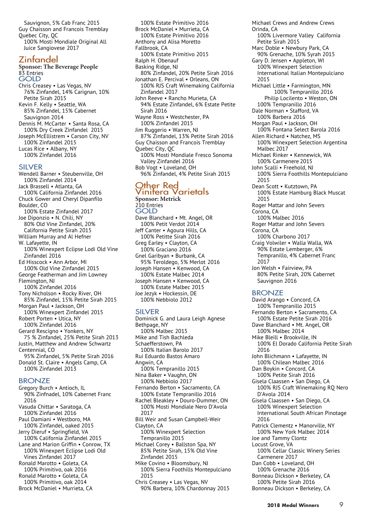Sauvignon, 5% Cab Franc 2015 Guy Chaisson and Francois Tremblay Quebec City, QC 100% Mosti Mondiale Original All Juice Sangiovese 2017

# Zinfandel

**Sponsor: The Beverage People** 83 Entries GOLD Chris Creasey • Las Vegas, NV 76% Zinfandel, 14% Carignan, 10% Petite Sirah 2015 Kevin F. Kelly • Seattle, WA

85% Zinfandel, 15% Cabernet Sauvignon 2014 Dennis M. McCarter • Santa Rosa, CA 100% Dry Creek Zinfandel 2015 Joseph McEllistrem • Carson City, NV 100% Zinfandel 2015 Lucas Rice • Albany, NY 100% Zinfandel 2016

#### SILVER

Wendell Barner • Steubenville, OH 100% Zinfandel 2014 Jack Brassell • Atlanta, GA 100% California Zinfandel 2016 Chuck Gower and Cheryl Dipanfilo Boulder, CO 100% Estate Zinfandel 2017 Joe Diponzio • N. Chili, NY 80% Old Vine Zinfandel, 20% California Petite Sirah 2015 William Murray and Al Hefner W. Lafayette, IN 100% Winexpert Eclipse Lodi Old Vine Zinfandel 2016 Ed Hisscock • Ann Arbor, MI 100% Old Vine Zinfandel 2015 George Featherman and Jim Lowney Flemington, NJ 100% Zinfandel 2016 Tony Nicholson • Rocky River, OH 85% Zinfandel, 15% Petite Sirah 2015 Morgan Paul • Jackson, OH 100% Winexpert Zinfandel 2015 Robert Porten • Utica, NY 100% Zinfandel 2016 Gerard Rescigno • Yonkers, NY 75 % Zinfandel, 25% Petite Sirah 2013 Justin, Matthew and Andrew Schwartz Centennial, CO 95% Zinfandel, 5% Petite Sirah 2016 Donald St. Claire • Angels Camp, CA 100% Zinfandel 2013

#### BRONZE

Gregory Burch • Antioch, IL 90% Zinfnadel, 10% Cabernet Franc 2016 Vasuda Chittar • Saratoga, CA 100% Zinfandel 2016 Paul Damiani • Westboro, MA 100% Zinfandel, oaked 2015 Jerry Dieruf • Springfield, VA 100% California Zinfandel 2015 Lane and Marion Griffin • Conrow, TX 100% Winexpert Eclipse Lodi Old Vines Zinfandel 2017 Ronald Marotto • Goleta, CA 100% Primitivo, oak 2016 Ronald Marotto • Goleta, CA 100% Primitivo, oak 2014 Brock McDaniel • Murrieta, CA

100% Estate Primitivo 2016 Brock McDaniel • Murrieta, CA 100% Estate Primitivo 2016 Anthony and Alisa Moretto Fallbrook, CA 100% Estate Primitivo 2015 Ralph H. Obenauf Basking Ridge, NJ 80% Zinfandel, 20% Petite Sirah 2016 Jonathan E. Percival • Orleans, ON 100% RJS Craft Winemaking California Zinfandel 2017 John Reeve • Rancho Murieta, CA 94% Estate Zinfandel, 6% Estate Petite Sirah 2016 Wayne Ross • Westchester, PA 100% Zinfandel 2015 Jim Ruggerio • Warren, NJ 87% Zinfandel, 13% Petite Sirah 2016 Guy Chaisson and Francois Tremblay Quebec City, QC 100% Mosti Mondiale Fresco Sonoma Valley Zinfandel 2016 Bob Vogt • Loveland, OH 96% Zinfandel, 4% Petite Sirah 2015

# Other Red<br>Vinifera Varietals

**Sponsor: Metrick** 210 Entries **GOLD** Dave Blanchard • Mt. Angel, OR 100% Petit Verdot 2014 Jeff Canter • Agoura Hills, CA 100% Petitte Sirah 2016 Greg Earley • Clayton, CA 100% Graciano 2016 Gnel Garibyan • Burbank, CA 95% Teroldego, 5% Merlot 2016 Joseph Hansen • Kenwood, CA 100% Estate Malbec 2014 Joseph Hansen • Kenwood, CA 100% Estate Malbec 2015 Joe Jezyk • Hockessin, DE 100% Nebbiolo 2012

#### SILVER

Dominick G. and Laura Leigh Agnese Bethpage, NY 100% Malbec 2015 Mike and Tish Bachleda Schaefferstown, PA 100% Italian Barolo 2017 Rui Eduardo Bastos Amaro Angwin, CA 100% Tempranillo 2015 Nina Baker • Vaughn, ON 100% Nebbiolo 2017 Fernando Berton • Sacramento, CA 100% Estate Tempranillo 2016 Rachel Bleakley • Douro-Dummer, ON 100% Mosti Mondiale Nero D'Avola 2017 Bill Weir and Susan Campbell-Weir Clayton, CA 100% Winexpert Selection Tempranillo 2015 Michael Corey • Ballston Spa, NY 85% Petite Sirah, 15% Old Vine Zinfandel 2015 Mike Covino • Bloomsbury, NJ 100% Sierra Foothills Montepulciano 2015 Chris Creasey • Las Vegas, NV 90% Barbera, 10% Chardonnay 2015

Michael Crews and Andrew Crews Orinda, CA 100% Livermore Valley California Petite Sirah 2015 Marc Doble • Newbury Park, CA 90% Grenache, 10% Syrah 2015 Gary D. Jensen • Appleton, WI 100% Winexpert Selection International Italian Montepulciano 2015 Michael Little • Farmington, MN 100% Tempranillo 2016 Philip Locilento . Weston, ON 100% Tempranillo 2016 Dale Norman . Stafford, VA 100% Barbera 2016 Morgan Paul • Jackson, OH 100% Fontana Select Barola 2016 Allen Richard . Natchez, MS 100% Winexpert Selection Argentina Malbec 2017 Michael Rinker . Kennewick, WA 100% Carmenere 2015 John Scalli . Freehold, NJ 100% Sierra Foothills Montepulciano 2015 Dean Scott . Kutztown, PA 100% Estate Hamburg Black Muscat 2015 Roger Mattar and John Severs Corona, CA 100% Malbec 2016 Roger Mattar and John Severs Corona, CA 100% Charbono 2017 Craig Volwiler • Walla Walla, WA 90% Estate Lemberger, 6% Tempranillo, 4% Cabernet Franc 2017 Jon Welsh • Fairview, PA 80% Petite Sirah, 20% Cabernet Sauvignon 2016 **BRONZE** David Arango • Concord, CA

100% Tempranillo 2015

Fernando Berton • Sacramento, CA 100% Estate Petite Sirah 2016 Dave Blanchard • Mt. Angel, OR 100% Malbec 2014 Mike Bleill • Brookville, IN 100% El Dorado California Petite Sirah 2016 John Blichmann • Lafayette, IN 100% Chilean Malbec 2016 Dan Boykin • Concord, CA 100% Petite Sirah 2016 Gisela Claassen • San Diego, CA 100% RJS Craft Winemaking RQ Nero D'Avola 2014 Gisela Claassen • San Diego, CA 100% Winexpert Selection International South African Pinotage 2016 Patrick Clementz • Manorville, NY 100% New York Malbec 2014 Joe and Tammy Clontz Locust Grove, VA 100% Cellar Classic Winery Series Carmenere 2017 Dan Cobb • Loveland, OH 100% Grenache 2016 Bonneau Dickson • Berkeley, CA 100% Petite Sirah 2016 Bonneau Dickson • Berkeley, CA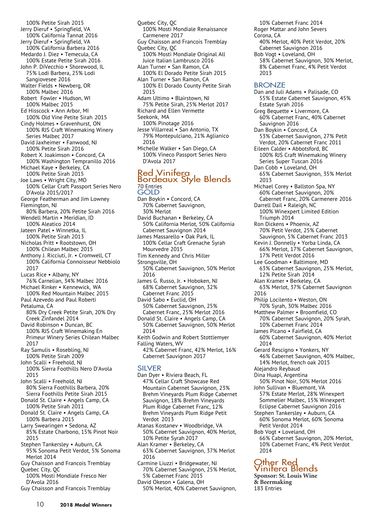- 100% Petite Sirah 2015 Jerry Dieruf • Springfield, VA 100% California Tannat 2016 Jerry Dieruf • Springfield, VA 100% California Barbera 2016 Medardo J. Diez • Temecula, CA 100% Estate Petite Sirah 2016 John P. DiVecchio • Shorewood, IL 75% Lodi Barbera, 25% Lodi Sangiovesee 2016 Walter Fields • Newberg, OR 100% Malbec 2016 Robert Fowler • Hudson, WI 100% Malbec 2015 Ed Hisscock • Ann Arbor, MI 100% Old Vine Petite Sirah 2015 Cindy Holmes • Gravenhurst, ON 100% RJS Craft Winemaking Winery Series Malbec 2017 David Jaxheimer • Fanwood, NJ 100% Petite Sirah 2016 Robert X. Joakimson • Concord, CA 100% Washington Tempranillo 2016 Michael Kaye • Berkeley, CA 100% Petite Sirah 2015 Joe Laws • Wright City, MO 100% Cellar Craft Passport Series Nero D'Avola 2015/2017 George Featherman and Jim Lowney Flemington, NJ 80% Barbera, 20% Petite Sirah 2016 Wendell Martin • Meridian, ID 100% Aleatico 2014 Jateen Patel • Winnetka, IL 100% Petite Sirah 2013 Nicholas Pritt • Rootstown, OH 100% Chilean Malbec 2015 Anthony J. Ricciuti, Jr. • Cromwell, CT 100% California Connoisseur Nebbiolo 2017 Lucas Rice • Albany, NY 76% Carnelian, 34% Malbec 2016 Michael Rinker • Kennewick, WA 100% Red Mountain Malbec 2015 Paul Azevedo and Paul Roberti Petaluma, CA 80% Dry Creek Petite Sirah, 20% Dry Creek Zinfandel 2014 David Robinson • Duncan, BC 100% RJS Craft Winemaking En Primeur Winery Series Chilean Malbec 2017 Ray Samulis • Rosebling, NJ 100% Petite Sirah 2009 John Scalli • Freehold, NJ 100% Sierra Foothills Nero D'Avola 2015 John Scalli • Freehold, NJ 80% Sierra Foothills Barbera, 20% Sierra Foothills Petite Sirah 2015 Donald St. Claire • Angels Camp, CA 100% Petite Sirah 2011 Donald St. Claire • Angels Camp, CA 100% Barbera 2015 Larry Swearingen • Sedona, AZ 85% Estate Charbono, 15% Pinot Noir 2015 Stephen Tankersley • Auburn, CA 95% Sonoma Petit Verdot, 5% Sonoma Merlot 2014 Guy Chaisson and Francois Tremblay Quebec City, QC 100% Mosti Mondiale Fresco Ner D'Avola 2016
- Guy Chaisson and Francois Tremblay
- Quebec City, QC 100% Mosti Mondiale Renaissance Carmenere 2017 Guy Chaisson and Francois Tremblay Quebec City, QC 100% Mosti Mondiale Original All Juice Italian Lambrusco 2016 Alan Turner • San Ramon, CA 100% El Dorado Petite Sirah 2015 Alan Turner • San Ramon, CA 100% El Dorado County Petite Sirah 2015 Adam Ultimo • Blairstown, NJ 75% Petite Sirah, 25% Merlot 2017 Richard and Ellen Vermette Seekonk, MA 100% Pinotage 2016
- Jesse Villarreal San Antonio, TX 79% Montepulciano, 21% Aglianico 2016
- Michelle Walker San Diego, CA 100% Vineco Passport Series Nero D'Avola 2017

# Red Vinitera<br>Bordeaux Style Blends 70 Entries

- GOLD Dan Boykin • Concord, CA 70% Cabernet Sauvignon, 30% Merlot David Buchanan • Berkeley, CA 50% California Merlot, 50% California Cabernet Sauvignon 2014 James Massarello • Oak Park, IL 100% Cellar Craft Grenache Syrah
- Mourvedre 2015
- Tim Kennedy and Chris Miller
- Strongsville, OH 50% Cabernet Sauvignon, 50% Merlot 2016
- James G. Russo, Jr. Hoboken, NJ 68% Cabernet Sauvignon, 32% Cabernet Franc 2015
- David Sabo Euclid, OH 50% Cabernet Sauvignon, 25% Cabernet Franc, 25% Merlot 2016
- Donald St. Claire Angels Camp, CA 50% Cabernet Sauvignon, 50% Merlot 2014
- Keith Godwin and Robert Stottlemyer
- Falling Waters, WV 42% Cabernet Franc, 42% Merlot, 16% Cabernet Sauvignon 2017

#### SILVER

Dan Dyer • Riviera Beach, FL 47% Cellar Craft Showcase Red Mountain Cabernet Sauvignon, 23% Brehm Vineyards Plum Ridge Cabernet Sauvignon, 18% Brehm Vineyards Plum Ridge Cabernet Franc, 12% Brehm Vineyards Plum Ridge Petit Verdot 2013

Atanas Kostanev • Woodbridge, VA 50% Cabernet Sauvignon, 40% Merlot, 10% Petite Syrah 2017

- Alan Kramer Berkeley, CA 63% Cabernet Sauvignon, 37% Merlot 2016
- Carmine Liuzzi Bridgewater, NJ 70% Cabernet Sauvignon, 25% Merlot, 5% Cabernet Franc 2015
- David Okeson Galena, OH 50% Merlot, 40% Cabernet Sauvignon,

10% Cabernet Franc 2014 Roger Mattar and John Severs Corona, CA

- 40% Merlot, 40% Petit Verdot, 20% Cabernet Sauvignon 2016 Bob Vogt • Loveland, OH
- 58% Cabernet Sauvignon, 30% Merlot, 8% Cabernet Franc, 4% Petit Verdot 2013

# **BRONZE**

Dan and Juli Adams • Palisade, CO 55% Estate Cabernet Sauvignon, 45% Estate Syrah 2016 Greg Bequette • Livermore, CA 60% Cabernet Franc, 40% Cabernet Sauvignon 2016 Dan Boykin • Concord, CA 53% Cabernet Sauvignon, 27% Petit Verdot, 20% Cabernet Franc 2011 Eileen Calder • Abbotsford, BC 100% RJS Craft Winemaking Winery Series Super Tuscan 2016 Dan Cobb • Loveland, OH 65% Cabernet Sauvignon, 35% Merlot 2013 Michael Corey • Ballston Spa, NY 60% Cabernet Sauvignon, 20% Cabernet Franc, 20% Carmenere 2016 Darrell Dail • Raleigh, NC 100% Winexpert Limited Edition Triumph 2014 Ron Dickens • Phoenix, AZ 70% Petit Verdot, 25% Cabernet Sauvignon, 5% Cabernet Franc 2013 Kevin J. Donnelly • Yorba Linda, CA 66% Merlot, 17% Cabernet Sauvignon, 17% Petit Verdot 2016 Lee Goodman • Baltimore, MD 63% Cabernet Sauvignon, 25% Merlot, 12% Petite Sirah 2014 Alan Kramer • Berkeley, CA 63% Merlot, 37% Cabernet Sauvignon 2016 Philip Locilento . Weston, ON 70% Syrah, 30% Malbec 2016 Matthew Palmer · Broomfield, CO 70% Cabernet Sauvignon, 20% Syrah, 10% Cabernet Franc 2014 James Picano · Fairfield, CA 60% Cabernet Sauvignon, 40% Merlot 2014 Gerard Rescigno • Yonkers, NY 46% Cabernet Sauvignon, 40% Malbec, 14% Merlot, french oak 2015 Alejandro Reybaud Dina Huapi, Argentina 50% Pinot Noir, 50% Merlot 2016 John Sullivan • Bluemont, VA 57% Estate Merlot, 28% Winexpert Sommelier Malbec, 15% Winexpert Eclipse Cabernet Sauvignon 2016 Stephen Tankersley • Auburn, CA 60% Sonoma Merlot, 60% Sonoma Petit Verdot 2014 Bob Vogt • Loveland, OH 66% Cabernet Sauvignon, 20% Merlot, 10% Cabernet Franc, 4% Petit Verdot 2014

# Other Red<br>Vinifera Blends

**Sponsor: St. Louis Wine & Beermaking** 183 Entries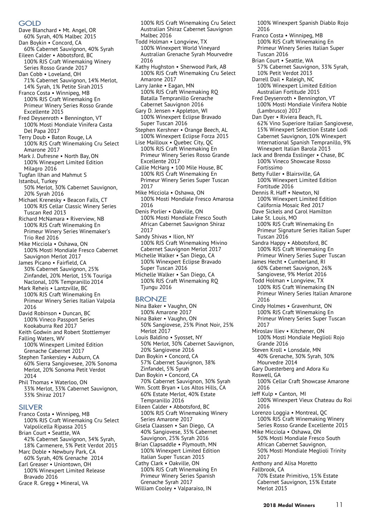#### GOLD

- Dave Blanchard Mt. Angel, OR 60% Syrah, 40% Malbec 2015
- Dan Boykin Concord, CA 60% Cabernet Sauvignon, 40% Syrah

Eileen Calder • Abbotsford, BC 100% RJS Craft Winemaking Winery Series Rosso Grande 2017

- Dan Cobb Loveland, OH 71% Cabernet Sauvignon, 14% Merlot,
- 14% Syrah, 1% Petite Sirah2015 Franco Costa • Winnipeg, MB 100% RJS Craft Winemaking En Primeur Winery Series Rosso Grande
- Excellente 2015 Fred Deysenroth • Bennington, VT 100% Mosti Mondiale Vinifera Casta Del Papa 2017
- Terry Doub Baton Rouge, LA 100% RJS Craft Winemaking Cru Select Amarone 2017
- Mark J. Dufresne North Bay, ON 100% Winexpert Limited Edition Milagro 2016
- Tugfan Ilhan and Mahmut S Istanbul, Turkey
- 50% Merlot, 30% Cabernet Sauvignon, 20% Syrah 2016
- Michael Krenesky Beacon Falls, CT 100% RJS Cellar Classic Winery Series Tuscan Red 2013
- Richard McNamara Riverview, NB 100% RJS Craft Winemaking En Primeur Winery Series Winemaker's Trio Red 2016
- Mike Micciola Oshawa, ON 100% Mosti Mondiale Fresco Cabernet Sauvignon Merlot 2017
- James Picano Fairfield, CA 30% Cabernet Sauvignon, 25% Zinfandel, 20% Merlot, 15% Touriga Naclonal, 10% Tempranillo 2014
- Mark Reheis Lantzville, BC 100% RJS Craft Winemaking En Primeur Winery Series Italian Valpola 2016
- David Robinson Duncan, BC 100% Vineco Passport Series Kookaburra Red 2017
- Keith Godwin and Robert Stottlemyer Falling Waters, WV
- 100% Winexpert Limited Edition Grenache Cabernet 2017 Stephen Tankersley • Auburn, CA
- 60% Sierra Sangiovesee, 20% Sonoma Merlot, 20% Sonoma Petit Verdot 2014
- Phil Thomas Waterloo, ON 33% Merlot, 33% Cabernet Sauvignon, 33% Shiraz 2017

#### SILVER

- Franco Costa Winnipeg, MB 100% RJS Craft Winemaking Cru Select Valpolicella Ripassa 2015 Brian Court • Seattle, WA 42% Cabernet Sauvignon, 34% Syrah, 18% Carmenere, 5% Petit Verdot 2015 Marc Doble • Newbury Park, CA 60% Syrah, 40% Grenache 2014 Earl Greaser • Uniontown, OH
- 100% Winexpert Limited Release Bravado 2016
- Grace R. Gregg Mineral, VA

100% RJS Craft Winemaking Cru Select Australian Shiraz Cabernet Sauvignon Malbec 2016

- Todd Holman Longview, TX 100% Winexpert World Vineyard Australian Grenache Syrah Mourvedre 2016
- Kathy Hughston Sherwood Park, AB 100% RJS Craft Winemaking Cru Select Amarone 2017
- Larry Janke Eagan, MN 100% RJS Craft Winemaking RQ Batalla Tempranillo Grenache Cabernet Sauvignon 2016
- Gary D. Jensen Appleton, WI 100% Winexpert Eclipse Bravado Super Tuscan 2016
- Stephen Kershner Orange Beech, AL 100% Winexpert Eclipse Forza 2015
- Lise Mailloux Quebec City, QC 100% RJS Craft Winemaking En Primeur Winery Series Rosso Grande Excellente 2017
- Callie McHarg 100 Mile House, BC 100% RJS Craft Winemaking En Primeur Winery Series Super Tuscan 2017
- Mike Micciola Oshawa, ON 100% Mosti Mondiale Fresco Amarosa 2016
- Denis Porlier Oakville, ON 100% Mosti Mondiale Fresco South African Cabernet Sauvignon Shiraz 2017
- Sandy Shivas Ilion, NY 100% RJS Craft Winemaking Mivino Cabernet Sauvignon Merlot 2017
- Michelle Walker San Diego, CA 100% Winexpert Eclipse Bravado Super Tuscan 2016
- Michelle Walker San Diego, CA 100% RJS Craft Winemaking RQ Tjungu 2016

#### **BRONZE**

- Nina Baker Vaughn, ON 100% Amarone 2017 Nina Baker • Vaughn, ON
- 50% Sangiovese, 25% Pinot Noir, 25% Merlot 2017
- Louis Baldino Syosset, NY 50% Merlot, 30% Cabernet Sauvignon, 20% Sangiovese 2016 Dan Boykin • Concord, CA
- 57% Cabernet Sauvignon, 38% Zinfandel, 5% Syrah
- Dan Boykin Concord, CA 70% Cabernet Sauvignon, 30% Syrah Wm. Scott Bryan • Los Altos Hills, CA 60% Estate Merlot, 40% Estate
- Tempranillo 2016
- Eileen Calder Abbotsford, BC 100% RJS Craft Winemaking Winery Series Amarone 2017
- Gisela Claassen San Diego, CA 40% Sangiovese, 35% Cabernet Sauvignon, 25% Syrah 2016 Brian Clapsaddle • Plymouth, MN
- 100% Winexpert Limited Edition Italian Super Tuscan 2015
- Cathy Clark Oakville, ON 100% RJS Craft Winemaking En Primeur Winery Series Spanish Grenache Syrah 2017
- William Cooley Valparaiso, IN

100% Winexpert Spanish Diablo Rojo 2016

- Franco Costa Winnipeg, MB 100% RJS Craft Winemaking En Primeur Winery Series Italian Super Tuscan 2016
- Brian Court Seattle, WA 57% Cabernet Sauvignon, 33% Syrah, 10% Petit Verdot 2013
- Darrell Dail Raleigh, NC 100% Winexpert Limited Edition Australian Fortitude 2015
- Fred Deysenroth Bennington, VT 100% Mosti Mondiale Vinifera Noble (Lambrusco) 2017
- Dan Dyer Riviera Beach, FL 62% Vino Superiore Italian Sangiovese, 15% Winexpert Selection Estate Lodi Cabernet Sauvignon, 10% Winexpert International Spanish Tempranillo, 9% Winexpert Italian Barola 2013
- Jack and Brenda Esslinger Chase, BC 100% Vineco Showcase Rosso Fortissimo
- Betty Fuller Blairsville, GA 100% Winexpert Limited Edition Fortitude 2016
- Dennis R. Haff Newton, NJ 100% Winexpert Limited Edition California Mosaic Red 2017
- Dave Sickels and Carol Hamilton
- Lake St. Louis, MO 100% RJS Craft Winemaking En Primeur Signature Series Italian Super Tuscan 2016
- Sandra Happy Abbotsford, BC 100% RJS Craft Winemaking En Primeur Winery Series Super Tuscan
- James Hecht Cumberland, RI 60% Cabernet Sauvignon, 26% Sangiovese, 9% Merlot 2016
- Todd Holman Longview, TX 100% RJS Craft Winemaking EN Primeur Winery Series Italian Amarone 2016
- Cindy Holmes Gravenhurst, ON 100% RJS Craft Winemaking En Primeur Winery Series Super Tuscan 2017
- Miroslav Iliev Kitchener, ON 100% Mosti Mondiale Meglioli Rojo Grande 2016
- Steven Kroll Lonsdale, MN 40% Grenache, 30% Syrah, 30% Mourvedre 2014
- Gary Duesterberg and Adora Ku
- Roswell, GA
	- 100% Cellar Craft Showcase Amarone 2016
- Jeff Kulp Canton, MI 100% Winexpert Vieux Chateau du Roi 2016
- Lorenzo Loggia Montreal, QC 100% RJS Craft Winemaking Winery Series Rosso Grande Excellente 2015 Mike Micciola • Oshawa, ON
- 50% Mosti Mondiale Fresco South African Cabernet Sauvignon, 50% Mosti Mondiale Meglioli Trinity
- 2017 Anthony and Alisa Moretto
- Fallbrook, CA 70% Estate Primitivo, 15% Estate
	- Cabernet Sauvignon, 15% Estate Merlot 2015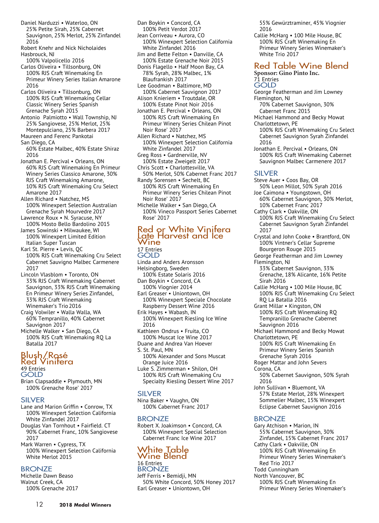- Daniel Narduzzi Waterloo, ON 25% Petite Sirah, 25% Cabernet Sauvignon, 25% Merlot, 25% Zinfandel 2016
- Robert Knehr and Nick Nicholaides Hasbrouck, NJ

100% Valpolicello 2016

- Carlos Oliveira Tillsonburg, ON 100% RJS Craft Winemaking En Primeur Winery Series Italian Amarone 2016
- Carlos Oliveira Tillsonburg, ON 100% RJS Craft Winemaking Cellar Classic Winery Series Spanish Grenache Syrah 2015
- Antonio Palmiotto Wall Township, NJ 25% Sangiovese, 25% Merlot, 25% Montepulciano, 25% Barbera 2017
- Maureen and Ferenc Pankotai
- San Diego, CA
- 60% Estate Malbec, 40% Estate Shiraz 2016
- Jonathan E. Percival Orleans, ON 60% RJS Craft Winemaking En Primeur Winery Series Classico Amarone, 30% RJS Craft Winemaking Amarone, 10% RJS Craft Winemaking Cru Select Amarone 2017
- Allen Richard Natchez, MS 100% Winexpert Selection Australian Grenache Syrah Mourvedre 2017
- Lawrence Roux N. Syracuse, NY 100% Mosto Bello Bardolino 2015
- James Sowinski Milwaukee, WI 100% Winexpert Limited Edition Italian Super Tuscan
- Karl St. Pierre Levis, QC 100% RJS Craft Winemaking Cru Select Cabernet Sauvigno Malbec Carmenere 2017
- Lincoln Vlasblom Toronto, ON 33% RJS Craft Winemaking Cabernet Sauvignon, 33% RJS Craft Winemaking En Primeur Winery Series Zinfandel, 33% RJS Craft Winemaking Winemaker's Trio2016
- Craig Volwiler Walla Walla, WA 60% Tempranillo, 40% Cabernet Sauvignon 2017
- Michelle Walker San Diego, CA 100% RJS Craft Winemaking RQ La Batalla 2017

# Blush/Rosé<br>Red Vinifera 49 Entries

**GOLD** 

Brian Clapsaddle • Plymouth, MN 100% Grenache Rose' 2017

#### SILVER

- Lane and Marion Griffin Conrow, TX 100% Winexpert Selection California White Zinfandel 2017
- Douglas Van Tornhout Fairfield. CT 90% Cabernet Franc, 10% Sangiovese 2017
- Mark Warren Cypress, TX 100% Winexpert Selection California White Merlot 2015

#### **BRONZE**

Michelle Dawn Beaso Walnut Creek, CA 100% Grenache 2017

- Dan Boykin Concord, CA 100% Petit Verdot 2017 Jean Corriveau • Aurora, CO 100% Winexpert Selection California White Zinfandel 2016 Jim and Bette Felton • Danville, CA 100% Estate Grenache Noir 2015 Donis Flagello • Half Moon Bay, CA 78% Syrah, 28% Malbec, 1%
	- Blaufrankish 2017 Lee Goodman • Baltimore, MD 100% Cabernet Sauvignon 2017
	- Alison Knieriem Troutdale, OR 100% Estate Pinot Noir 2016
	- Jonathan E. Percival Orleans, ON 100% RJS Craft Winemaking En Primeur Winery Series Chilean Pinot Noir Rose' 2017
	- Allen Richard Natchez, MS 100% Winexpert Selection California White Zinfandel 2017
	- Greg Ross Gardnerville, NV 100% Estate Zweigelt 2017
	- Chris Scott Charlottesville, VA 50% Merlot, 50% Cabernet Franc 2017
	- Randy Sorensen Sechelt, BC 100% RJS Craft Winemaking En Primeur Winery Series Chilean Pinot Noir Rose' 2017
	- Michelle Walker San Diego, CA 100% Vineco Passport Series Cabernet Rose' 2017

## Red or White Vinifera<br>Late Harvest and Ice Wine 17 Entries

**GOLD** Linda and Anders Aronsson Helsingborg, Sweden 100% Estate Solaris 2016 Dan Boykin • Concord, CA 100% Viognier 2014 Earl Greaser • Uniontown, OH 100% Winexpert Speciale Chocolate Raspberry Dessert Wine 2016 Erik Hayes • Wabash, IN 100% Winexpert Riesling Ice Wine 2016 Kathleen Ondrus • Fruita, CO 100% Muscat Ice Wine 2017

- Duane and Andrea Van Hoever
- S. St. Paul, MN 100% Alexander and Sons Muscat Orange Juice 2016
- Luke S. Zimmerman Shilon, OH 100% RJS Craft Winemaking Cru Specialty Riesling Dessert Wine 2017

#### SILVER

Nina Baker • Vaughn, ON 100% Cabernet Franc 2017

# BRONZE

Robert X. Joakimson • Concord, CA 100% Winexpert Special Selection Cabernet Franc Ice Wine 2017

# White Table<br>Wine Blend 16 Entries **BRONZE**

Jeff Ferris • Bemidji, MN 50% White Concord, 50% Honey 2017 Earl Greaser • Uniontown, OH

55% Gewürztraminer, 45% Viognier 2016

Callie McHarg • 100 Mile House, BC 100% RJS Craft Winemaking En Primeur Winery Series Winemaker's White Trio 2017

#### Red Table Wine Blend **Sponsor: Gino Pinto Inc.**

#### 71 Entries

- GOLD
- George Featherman and Jim Lowney Flemington, NJ
	- 70% Cabernet Sauvignon, 30% Cabernet Franc 2015
- Michael Hammond and Becky Mowat Charlottetown, PE
- 100% RJS Craft Winemaking Cru Select Cabernet Sauvignon Syrah Zinfandel 2016
- Jonathan E. Percival Orleans, ON 100% RJS Craft Winemaking Cabernet Sauvignon Malbec Carmenere 2017

#### SILVER

Steve Auer • Coos Bay, OR 50% Leon Millot, 50% Syrah 2016 Joe Caimona • Youngstown, OH 60% Cabernet Sauvignon, 30% Merlot, 10% Cabernet Franc 2017 Cathy Clark • Oakville, ON 100% RJS Craft Winemaking Cru Select Cabernet Sauvignon Syrah Zinfandel 2017 Crystal and John Cooke • Brantford, ON 100% Vintner's Cellar Supreme Bourgeron Rouge 2015 George Featherman and Jim Lowney Flemington, NJ 33% Cabernet Sauvignon, 33% Grenache, 18% Alicante, 16% Petite Sirah 2016 Callie McHarg • 100 Mile House, BC 100% RJS Craft Winemaking Cru Select RQ La Batalla 2016 Grant Millar • Kingston, ON 100% RJS Craft Winemaking RQ Tempranillo Grenache Cabernet Sauvignon 2016 Michael Hammond and Becky Mowat

- Charlottetown, PE 100% RJS Craft Winemaking En Primeur Winery Series Spanish Grenache Syrah 2016
- Roger Mattar and John Severs Corona, CA
- 50% Cabernet Sauvignon, 50% Syrah 2016
- John Sullivan Bluemont, VA 57% Estate Merlot, 28% Winexpert Sommelier Malbec, 15% Winexpert Eclipse Cabernet Sauvignon 2016

#### **BRONZE**

- Gary Atchison Marion, IN 55% Cabernet Sauvignon, 30% Zinfandel, 15% Cabernet Franc 2017 Cathy Clark • Oakville, ON 100% RJS Craft Winemaking En Primeur Winery Series Winemaker's
- Red Trio 2017
- Todd Cunningham North Vancouver, BC
	- 100% RJS Craft Winemaking En
	- Primeur Winery Series Winemaker's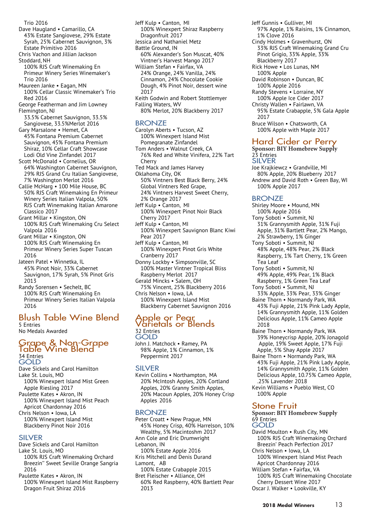- Trio 2016 Dave Haugland • Camarillo, CA 43% Estate Sangiovese, 29% Estate Syrah, 25% Cabernet Sauvignon, 3% Estate Primitivo 2016 Chris Vachon and Jillian Jackson Stoddard, NH 100% RJS Craft Winemaking En Primeur Winery Series Winemaker's Trio 2016 Maureen Janke • Eagan, MN 100% Cellar Classic Winemaker's Trio Red 2016
- George Featherman and Jim Lowney Flemington, NJ
- 33.5% Cabernet Sauvignon, 33.5% Sangiovese, 33.5%Merlot 2016
- Gary Marsalone Hemet, CA 45% Fontana Premium Cabernet Sauvignon, 45% Fontana Premium Shiraz, 10% Cellar Craft Showcase Lodi Old Vine Zinfandel 2017
- Scott McDonald Cornelius, OR 64% Washington Cabernet Sauvignon, 29% RJS Grand Cru Italian Sangiovese, 7% Washington Merlot 2016
- Callie McHarg 100 Mile House, BC 50% RJS Craft Winemaking En Primeur Winery Series Italian Valpola, 50% RJS Craft Winemaking Italian Amarone Classico 2017
- Grant Millar Kingston, ON 100% RJS Craft Winemaking Cru Select Valpola 2016
- Grant Millar Kingston, ON 100% RJS Craft Winemaking En Primeur Winery Series Super Tuscan 2016
- Jateen Patel Winnetka, IL 45% Pinot Noir, 33% Cabernet Sauvignon, 17% Syrah, 5% Pinot Gris 2013
- Randy Sorensen Sechelt, BC 100% RJS Craft Winemaking En Primeur Winery Series Italian Valpola 2016

# Blush Table Wine Blend

5 Entries No Medals Awarded

## Grape & Non-Grape<br>Table Wine Blend 34 Entries GOLD

- Dave Sickels and Carol Hamilton Lake St. Louis, MO 100% Winexpert Island Mist Green Apple Riesling 2017
- Paulette Kates Akron, IN 100% Winexpert Island Mist Peach Apricot Chardonnay 2016
- Chris Nelson Iowa, LA 100% Winexpert Island Mist Blackberry Pinot Noir 2016

#### SILVER

- Dave Sickels and Carol Hamilton
- Lake St. Louis, MO 100% RJS Craft Winemaking Orchard Breezin'' Sweet Seville Orange Sangria 2016
- Paulette Kates Akron, IN 100% Winexpert Island Mist Raspberry Dragon Fruit Shiraz 2016

Jeff Kulp • Canton, MI 100% Winexpert Shiraz Raspberry Dragonfruit 2017 Jessica and Nathaniel Metz Battle Ground, IN 60% Alexander's Son Muscat, 40% Vintner's Harvest Mango 2017 William Stefan • Fairfax, VA 24% Orange, 24% Vanilla, 24% Cinnamon, 24% Chocolate Cookie Dough, 4% Pinot Noir, dessert wine 2017 Keith Godwin and Robert Stottlemyer Falling Waters, WV 80% Merlot, 20% Blackberry 2017

#### BRONZE

- Carolyn Aberts Tucson, AZ 100% Winexpert Island Mist Pomegranate Zinfandel Tom Anders • Walnut Creek, CA 76% Red and White Vinifera, 22% Tart Cherry Ted Mack and James Harvey
- Oklahoma City, OK 50% Vintners Best Black Berry, 24% Global Vintners Red Grape, 24% Vintners Harvest Sweet Cherry, 2% Orange 2017
- Jeff Kulp Canton, MI 100% Winexpert Pinot Noir Black Cherry 2017
- Jeff Kulp Canton, MI 100% Winexpert Sauvignon Blanc Kiwi Pear 2017
- Jeff Kulp Canton, MI 100% Winexpert Pinot Gris White Cranberry 2017
- Donny Lockby Simpsonville, SC 100% Master Vintner Tropical Bliss Raspberry Merlot 2017
- Gerald Mincks Salem, OH 75% Vincent, 25% Blackberry 2016 Chris Nelson • Iowa, LA
- 100% Winexpert Island Mist Blackberry Cabernet Sauvignon 2016

#### Apple or Pear<br>Varietals or Blends 32 Entries GOLD

John J. Matchock • Ramey, PA 98% Apple, 1% Cinnamon, 1% Peppermint 2017

#### SILVER

Kevin Collins • Northampton, MA 20% McIntosh Apples, 20% Cortland Apples, 20% Granny Smith Apples, 20% Macoun Apples, 20% Honey Crisp Apples 2016

#### **BRONZE**

- Peter Croatt New Prague, MN 45% Honey Crisp, 40% Harrelson, 10% Wealthy, 5% Macintoshm 2017 Ann Cole and Eric Drumwright Lebanon, IN 100% Estate Apple 2016 Kris Mitchell and Denis Durand Lamont, AB 100% Estate Crabapple 2015
- Bret Fleischer Alliance, OH 60% Red Raspberry, 40% Bartlett Pear 2013
- Jeff Gunnis Gulliver, MI 97% Apple, 1% Raisins, 1% Cinnamon, 1% Clove 2016
- Cindy Holmes Gravenhurst, ON 33% RJS Craft Winemaking Grand Cru Pinot Grigio, 33% Apple, 33% Blackberry 2017
- Rick Howe Los Lunas, NM 100% Apple
- David Robinson Duncan, BC 100% Apple 2016
- Randy Stevens Lorraine, NY 100% Apple Ice Cider 2017
- Christy Wallen Fairlawn, VA
- 95% Estate Crabapple, 5% Gala Apple 2017
- Bruce Wilson Chatsworth, CA 100% Apple with Maple 2017

# Hard Cider or Perry

**Sponsor: BIY Homebrew Supply** 23 Entries

# SILVER

Joe Krajkiewcz • Grandville, MI 80% Apple, 20% Blueberry 2017 Andrew and David Roth • Green Bay, WI 100% Apple 2017

#### **BRONZE**

- Shirley Moore Mound, MN 100% Apple 2016
- Tony Soboti Summit, NJ 31% Grannysmith Apple, 31% Fuji Apple, 31% Bartlett Pear, 2% Mango, 2% Strawberry, 1% Ginger
- Tony Soboti Summit, NJ 48% Apple, 48% Pear, 2% Black Raspberry, 1% Tart Cherry, 1% Green Tea Leaf
- Tony Soboti Summit, NJ 49% Apple, 49% Pear, 1% Black Raspberry, 1% Green Tea Leaf
- Tony Soboti Summit, NJ 33% Apple, 33% Pear, 33% Ginger
- Baine Thorn Normandy Park, WA 43% Fuji Apple, 21% Pink Lady Apple, 14% Grannysmith Apple, 11% Golden Delicious Apple, 11% Cameo Apple 2018
- Baine Thorn Normandy Park, WA 39% Honeycrisp Apple, 20% Jonagold Apple, 19% Sweet Apple, 17% Fuji Apple, 5% Shay Apple 2017
- Baine Thorn Normandy Park, WA 43% Fuji Apple, 21% Pink Lady Apple, 14% Grannysmith Apple, 11% Golden Delicious Apple, 10.75% Cameo Apple, .25% Lavender 2018
- Kevin Williams Pueblo West, CO 100% Apple

#### Stone Fruit

**Sponsor: BIY Homebrew Supply** 69 Entries GOLD

- David Moulton Rush City, MN 100% RJS Craft Winemaking Orchard Breezin' Peach Perfection 2017
- Chris Nelson Iowa, LA 100% Winexpert Island Mist Peach Apricot Chardonnay 2016
- William Stefan Fairfax, VA
- 100% RJS Craft Winemaking Chocolate Cherry Dessert Wine 2017 Oscar J. Walker • Lookville, KY
	- **2018 Medal Winners** 13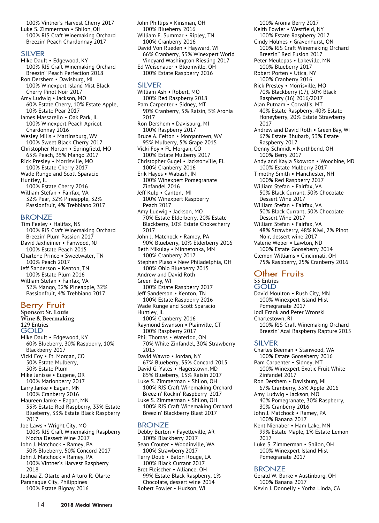100% Vintner's Harvest Cherry 2017 Luke S. Zimmerman • Shilon, OH 100% RJS Craft Winemaking Orchard Breezin' Peach Chardonnay 2017

#### SILVER

Mike Dault • Edgewood, KY 100% RJS Craft Winemaking Orchard Breezin'' Peach Perfection 2018 Ron Dershem • Davisburg, MI 100% Winexpert Island Mist Black Cherry Pinot Noir 2017 Amy Ludwig • Jackson, MO 60% Estate Cherry, 10% Estate Apple, 10% Estate Pear 2017 James Massarello • Oak Park, IL 100% Winexpert Peach Apricot Chardonnay 2016 Wesley Mills • Martinsburg, WV 100% Sweet Black Cherry 2017 Christopher Norton • Springfield, MO 65% Peach, 35% Mango 2017 Rick Presley • Morrisville, MO 100% Estate Cherry 2017 Wade Runge and Scott Sparacio Huntley, IL 100% Estate Cherry 2016 William Stefan • Fairfax, VA 32% Pear, 32% Pineapple, 32% Passionfruit, 4% Trebbiano 2017

#### BRONZE

Tim Feeley • Halifax, NS 100% RJS Craft Winemaking Orchard Breezin' Plum Passion 2017 David Jaxheimer • Fanwood, NJ 100% Estate Peach 2015 Charlene Prince • Sweetwater, TN 100% Peach 2017 Jeff Sanderson • Kenton, TN 100% Estate Plum 2016 William Stefan • Fairfax, VA 32% Mango, 32% Pineapple, 32% Passionfruit, 4% Trebbiano 2017

#### Berry Fruit

**Sponsor: St. Louis Wine & Beermaking** 129 Entries GOLD Mike Dault • Edgewood, KY 60% Blueberry, 30% Raspberry, 10% Blackberry 2017 Vicki Foy • Ft. Morgan, CO 50% Estate Mulberry, 50% Estate Plum Mike Janisse • Eugene, OR 100% Marionberry 2017 Larry Janke • Eagan, MN 100% Cranberry 2016 Maureen Janke • Eagan, MN 33% Estate Red Raspberry, 33% Estate Blueberry, 33% Estate Black Raspberry 2017 Joe Laws • Wright City, MO 100% RJS Craft Winemaking Raspberry Mocha Dessert Wine 2017 John J. Matchock • Ramey, PA 50% Blueberry, 50% Concord 2017 John J. Matchock • Ramey, PA 100% Vintner's Harvest Raspberry

2018 Joshua Z. Olarte and Arturo R. Olarte Paranaque City, Philippines 100% Estate Bignay 2016

John Phillips • Kinsman, OH 100% Blueberry 2016 William E. Summar • Ripley, TN 100% Cranberry 2016 David Von Rueden • Hayward, WI 66% Cranberry, 33% Winexpert World Vineyard Washington Riesling 2017 Ed Weisenauer • Bloomville, OH 100% Estate Raspberry 2016

#### SILVER

William Ash • Robert, MO 100% Red Raspberry 2018 Pam Carpenter • Sidney, MT 90% Cranberry, 5% Raisin, 5% Aronia 2017 Ron Dershem • Davisburg, MI 100% Raspberry 2017 Bruce A. Felton • Morgantown, WV 95% Mulberry, 5% Grape 2015 Vicki Foy • Ft. Morgan, CO 100% Estate Mulberry 2017 Christopher Gugel • Jacksonville, FL 100% Cranberry 2016 Erik Hayes • Wabash, IN 100% Winexpert Pomegranate Zinfandel 2016 Jeff Kulp • Canton, MI 100% Winexpert Raspberry Peach 2017 Amy Ludwig • Jackson, MO 70% Estate Elderberry, 20% Estate Blackberry, 10% Estate Chokecherry 2017 John J. Matchock • Ramey, PA 90% Blueberry, 10% Elderberry 2016 Beth Mikulay • Minnetonka, MN 100% Cranberry 2017 Stephen Plaso • New Philadelphia, OH 100% Ohio Blueberry 2015 Andrew and David Roth Green Bay, WI 100% Estate Raspberry 2017 Jeff Sanderson • Kenton, TN 100% Estate Raspberry 2016 Wade Runge and Scott Sparacio Huntley, IL 100% Cranberry 2016 Raymond Swanson • Plainville, CT 100% Raspberry 2017 Phil Thomas • Waterloo, ON 70% White Zinfandel, 30% Strawberry 2015 David Wawro • Jordan, NY 67% Blueberry, 33% Concord 2015 David G. Yates • Hagerstown, MD 85% Blueberry, 15% Raisin 2017 Luke S. Zimmerman • Shilon, OH 100% RJS Craft Winemaking Orchard Breezin' Rockin' Raspberry 2017 Luke S. Zimmerman • Shilon, OH 100% RJS Craft Winemaking Orchard Breezin' Blackberry Blast 2017

#### BRONZE

Debby Burton • Fayetteville, AR 100% Blackberry 2017 Sean Crouter • Woodinville, WA 100% Strawberry 2017 Terry Doub • Baton Rouge, LA 100% Black Currant 2017 Bret Fleischer • Alliance, OH 99% Estate Black Raspberry, 1% Chocolate, dessert wine 2014 Robert Fowler • Hudson, WI

100% Aronia Berry 2017 Keith Fowler • Westfield, NY 100% Estate Raspberry 2017 Cindy Holmes • Gravenhurst, ON 100% RJS Craft Winemaking Orchard Breezin'' Red Fusion 2017 Peter Meulepas • Lakeville, MN 100% Blueberry 2017 Robert Porten • Utica, NY 100% Cranberry 2016 Rick Presley • Morrisville, MO 70% Blackberry (17), 30% Black Raspberry (16) 2016/2017 Alan Putnam • Corvallis, MT 40% Estate Raspberry, 40% Estate Honeyberry, 20% Estate Strawberry 2017 Andrew and David Roth • Green Bay, WI 67% Estate Rhubarb, 33% Estate Raspberry 2017 Denny Schmidt • Northbend, OH 100% Berry 2017 Andy and Kayla Skowron • Woodbine, MD 100% Estate Mulberry 2017 Timothy Smith • Manchester, NH 100% Red Raspberry 2017 William Stefan • Fairfax, VA 50% Black Currant, 50% Chocolate Dessert Wine 2017 William Stefan • Fairfax, VA 50% Black Currant, 50% Chocolate Dessert Wine 2017 William Stefan • Fairfax, VA 48% Strawberry, 48% Kiwi, 2% Pinot Noir, dessert wine 2017 Valerie Weber • Lawton, ND 100% Estate Gooseberry 2014 Clemon Williams • Cincinnati, OH 75% Raspberry, 25% Cranberry 2016

#### **Other Fruits**

#### 55 Entries **GOLD**

David Moulton • Rush City, MN 100% Winexpert Island Mist Pomegranate 2017 Jodi Frank and Peter Wronski Charlestown, RI 100% RJS Craft Winemaking Orchard Breezin' Acai Raspberry Rapture 2015

#### SILVER

- Charles Beeman Stanwood, WA 100% Estate Gooseberry 2016 Pam Carpenter • Sidney, MT
- 100% Winexpert Exotic Fruit White Zinfandel 2017
- Ron Dershem Davisburg, MI 67% Cranberry, 33% Apple 2016
- Amy Ludwig Jackson, MO 40% Pomegranate, 30% Raspberry, 30% Cranberry 2016
- John J. Matchock Ramey, PA 100% Banana 2017
- Kent Nienaber Ham Lake, MN 99% Estate Maple, 1% Estate Lemon 2017
- Luke S. Zimmerman Shilon, OH 100% Winexpert Island Mist Pomegranate 2017

#### **BRONZE**

Gerald W. Burke • Austinburg, OH 100% Banana 2017 Kevin J. Donnelly • Yorba Linda, CA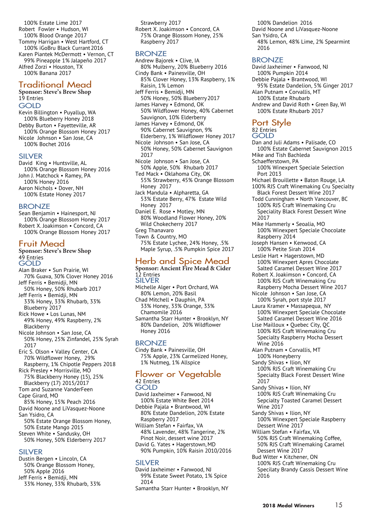100% Estate Lime 2017 Robert Fowler • Hudson, WI 100% Blood Orange 2017 Tommy Harrigan • West Hartford, CT 100% iGoBru Black Currant 2016 Karen Piantek McDermott • Vernon, CT 99% Pineapple 1% Jalapeño 2017 Alfred Zorzi • Houston, TX 100% Banana 2017

#### Traditional Mead

#### **Sponsor: Steve's Brew Shop** 19 Entries GOLD Kevin Billington • Puyallup, WA 100% Blueberry Honey 2018 Debby Burton • Fayetteville, AR

100% Orange Blossom Honey 2017 Nicole Johnson • San Jose, CA 100% Bochet 2016

#### SILVER

David King • Huntsville, AL 100% Orange Blossom Honey 2016 John J. Matchock • Ramey, PA 100% Honey 2016 Aaron Nichols • Dover, NH 100% Estate Honey 2017

#### BRONZE

Sean Benjamin • Hainesport, NJ 100% Orange Blossom Honey 2017 Robert X. Joakimson • Concord, CA 100% Orange Blossom Honey 2017

#### Fruit Mead

#### **Sponsor: Steve's Brew Shop** 49 Entries GOLD Alan Braker • Sun Prairie, WI 70% Guava, 30% Clover Honey 2016 Jeff Ferris • Bemidji, MN 50% Honey, 50% Rhubarb 2017 Jeff Ferris • Bemidji, MN 33% Honey, 33% Rhubarb, 33% Blueberry 2017 Rick Howe • Los Lunas, NM 49% Honey, 49% Raspberry, 2% Blackberry Nicole Johnson • San Jose, CA 50% Honey, 25% Zinfandel, 25% Syrah 2017 Eric S. Olson • Valley Center, CA 70% Wildflower Honey, 29% Raspberry, 1% Chipotle Peppers 2018 Rick Presley • Morrisville, MO 75% Blackberry Honey (15), 25% Blackberry (17) 2015/2017 Tom and Suzanne VanderFeen Cape Girard, MO 85% Honey, 15% Peach 2016 David Noone and LiVasquez-Noone

San Ysidro, CA 50% Estate Orange Blossom Honey, 50% Estate Mango 2015 Steven White • Sandusky, OH

# 50% Honey, 50% Elderberry 2017

#### SILVER

Dustin Bergen • Lincoln, CA 50% Orange Blossom Honey, 50% Apple 2016 Jeff Ferris • Bemidji, MN 33% Honey, 33% Rhubarb, 33%

Strawberry 2017 Robert X. Joakimson • Concord, CA 75% Orange Blossom Honey, 25% Raspberry 2017

#### **BRONZE**

Andrew Bajorek • Clive, IA 80% Mulberry, 20% Blueberry 2016 Cindy Bank • Painesville, OH 85% Clover Honey, 13% Raspberry, 1% Raisin, 1% Lemon Jeff Ferris • Bemidji, MN 50% Honey, 50% Blueberry2017 James Harvey • Edmond, OK 50% Wildflower Honey, 40% Cabernet Sauvignon, 10% Elderberry James Harvey • Edmond, OK 90% Cabernet Sauvignon, 9% Elderberry, 1% Wildflower Honey 2017 Nicole Johnson • San Jose, CA 50% Honey, 50% Cabernet Sauvignon 2017 Nicole Johnson • San Jose, CA 50% Apple, 50% Rhubarb 2017 Ted Mack • Oklahoma City, OK 55% Strawberry, 45% Orange Blossom Honey 2017 Jack Mandula • Alpharetta, GA 53% Estate Berry, 47% Estate Wild Honey 2017 Daniel E. Rose • Motley, MN 80% Woodland Flower Honey, 20% Wild Chokecherry 2017 Greg Thanavaro Town & Country, MO 75% Estate Lychee, 24% Honey, .5% Maple Syrup, .5% Pumpkin Spice 2017

#### Herb and Spice Mead

#### **Sponsor: Ancient Fire Mead & Cider** 12 Entries

- SILVER Michelle Alger • Port Orchard, WA 80% Lemon, 20% Basil Chad Mitchell • Dauphin, PA 33% Honey, 33% Orange, 33% Chamomile 2016
- Samantha Starr Hunter Brooklyn, NY 80% Dandelion, 20% Wildflower Honey 2016

#### **BRONZE**

Cindy Bank • Painesville, OH 75% Apple, 23% Carmelized Honey, 1% Nutmeg, 1% Allspice

#### Flower or Vegetable 42 Entries

- GOLD
- David Jaxheimer Fanwood, NJ 100% Estate White Beet 2014 Debbie Pajala • Brantwood, WI 80% Estate Dandelion, 20% Estate Raspberry 2017 William Stefan • Fairfax, VA
- 48% Lavender, 48% Tangerine, 2% Pinot Noir, dessert wine 2017 David G. Yates • Hagerstown, MD 90% Pumpkin, 10% Raisin 2010/2016

#### SILVER

David Jaxheimer • Fanwood, NJ 99% Estate Sweet Potato, 1% Spice 2014 Samantha Starr Hunter • Brooklyn, NY

100% Dandelion 2016 David Noone and LiVasquez-Noone San Ysidro, CA 48% Lemon, 48% Lime, 2% Spearmint 2016

#### BRONZE

David Jaxheimer • Fanwood, NJ 100% Pumpkin 2014 Debbie Pajala • Brantwood, WI 95% Estate Dandelion, 5% Ginger 2017 Alan Putnam • Corvallis, MT 100% Estate Rhubarb Andrew and David Roth • Green Bay, WI 100% Estate Rhubarb 2017

Port Style 82 Entries GOLD Dan and Juli Adams • Palisade, CO 100% Estate Cabernet Sauvignon 2015 Mike and Tish Bachleda Schaefferstown, PA 100% Winexpert Speciale Selection Port 2013 Michael Brouillette • Baton Rouge, LA 100% RJS Craft Winemaking Cru Specialty Black Forest Dessert Wine 2017 Todd Cunningham • North Vancouver, BC 100% RJS Craft Winemaking Cru Speciality Black Forest Dessert Wine 2017 Mike Hammerly • Seoalia, MO 100% Winexpert Speciale Chocolate Raspberry 2014 Joseph Hansen • Kenwood, CA 100% Petite Sirah 2014 Leslie Hart • Hagerstown, MD 100% Winexpert Apres Chocolate Salted Caramel Dessert Wine 2017 Robert X. Joakimson • Concord, CA 100% RJS Craft Winemaking Cru Raspberry Mocha Dessert Wine 2017 Nicole Johnson • San Jose, CA 100% Syrah, port style 2017 Laura Kramer • Massapequa, NY 100% Winexpert Speciale Chocolate Salted Caramel Dessert Wine 2016 Lise Mailloux • Quebec City, QC 100% RJS Craft Winemaking Cru Specialty Raspberry Mocha Dessert Wine 2016 Alan Putnam • Corvallis, MT 100% Honeyberry Sandy Shivas • Ilion, NY 100% RJS Craft Winemaking Cru Specialty Black Forest Dessert Wine 2017 Sandy Shivas • Ilion, NY 100% RJS Craft Winemaking Cru Sepcialty Toasted Caramel Dessert

100% Winexpert Speciale Raspberry

50% RJS Craft Winemaking Coffee, 50% RJS Craft Winemaking Caramel

100% RJS Craft Winemaking Cru Specilaty Brandy Cassis Dessert Wine

Wine 2017 Sandy Shivas • Ilion, NY

2016

Dessert Wine 2017 William Stefan • Fairfax, VA

Dessert Wine 2017 Bud Witter • Kitchener, ON